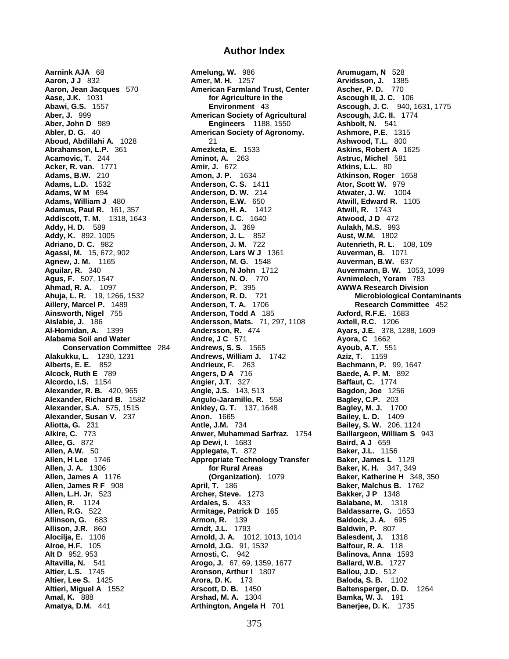**Aarnink AJA** 68 **Amelung, W.** 986 **Arumugam, N** 528 **Alexander, Susan V. 237 <b>Anon.** 1665 **Alroe, H.F.** 105 **Arnold, J.G.** 91, 1532 **Altavilla, N. 541 <b>Arogo, J.** 67, 69, 1359, 1677

## **Author Index**

**Aaron, J J** 832 **Amer, M. H.** 1257 **Arvidsson, J.** 1385 **Aaron, Jean Jacques** 570 **American Farmland Trust, Center Ascher, P. D.** 770 **Aase, J.K.** 1031 **for Agriculture in the Ascough II, J. C.** 106 **Abawi. G.S.** 1557 **for Ascough II, J. C.** 940, **Aber, J.** 999 **American Society of Agricultural Ascough, J.C. II.** 1774 **Aber, John D** 989 **Engineers** 1188, 1550 **Ashbolt, N.** 541 **American Society of Agronomy. Aboud, Abdillahi A.** 1028 21 **Ashwood, T.L.** 800 **Abrahamson, L.P.** 361 **Amezketa, E.** 1533 **Askins, Robert A** 1625 **Acamovic, T.** 244 **Aminot, A.** 263 **Astruc, Michel** 581 **Acker, R. van.** 1771 **Amir, J.** 672 **Atkins, L.L.** 80 **Amon, J. P.**  1634 **Atkinson, Roger** 1658 **Adams, L.D.** 1532 **Anderson, C. S.** 1411 **Ator, Scott W.** 979 **Adams, W M** 694 **Anderson, D. W.** 214 **Atwater, J. W.** 1004 **Adams, William J** 480 **Anderson, E.W.** 650 **Atwill, Edward R.** 1105 **Adamus, Paul R.** 161, 357 **Anderson, H. A.** 1412 **Atwill, R.** 1743 **Addiscott, T. M. 1318, 1643 Anderson, I. C. 1640 Atwood, JD 472 Addy, H. D.** 589 **Anderson, J.** 369 **Aulakh, M.S.** 993 **Addy, K.** 892, 1005 **Anderson, J. L.** 852 **Aust, W.M.** 1802 **Adriano, D. C.** 982 **Anderson, J. M.** 722 **Autenrieth, R. L.** 108, 109 **Agassi, M.** 15, 672, 902 **Anderson, Lars W J** 1361 **Auverman, B.** 1071 **Agnew, J. M.** 1165 **Anderson, M. G.** 1548 **Auverman, B.W.** 637 **Aguilar, R.** 340 **Anderson, N John** 1712 **Auvermann, B. W.** 1053, 1099 **Agus, F.** 507, 1547 **Anderson, N. O.** 770 **Avnimelech, Yoram** 783 **Ahmad, R. A.** 1097 **Anderson, P.** 395 **AWWA Research Division Ahuja, L. R.** 19, 1266, 1532 **Anderson, R. D.** 721 **Microbiological Contaminants Aillery, Marcel P.** 1489 **Anderson, T. A.** 1706 **Research Committee** 452 **Ainsworth, Nigel** 755 **Anderson, Todd A** 185 **Axford, R.F.E.** 1683 **Aislabie, J.** 186 **Andersson, Mats.** 71, 297, 1108 **Axtell, R.C.** 1206 **Al-Homidan, A.** 1399 **Andersson, R.** 474 **Ayars, J.E.** 378, 1288, 1609 **Alabama Soil and Water Andre, J C** 571 **Ayora, C** 1662 **Conservation Committee** 284 **Andrews, S. S.** 1565 **Ayoub, A.T.** 551 **Alakukku, L.** 1230, 1231 **Andrews, William J.** 1742 **Aziz, T.** 1159 **Alakukku, L.** 1230, 1231 **Andrews, William J. 1742 Aziz, T. 1159**<br>**Alberts, E. E.** 852 **Andrieux, F. 263 Bachmann, P. 99, 1647 Alcock, Ruth E** 789 **Angers, D A** 716 **Baede, A. P. M.** 892 **Alcordo, I.S.** 1154 **Angler, J.T.** 327 **Baffaut, C.** 1774 **Angier, J.T.** 327<br>**Angle, J.S.** 143, 513 **Alexander, R. B.** 420, 965 **Angle, J.S.** 143, 513 **Bagdon, Joe** 1256 **Alexander, Richard B.** 1582 **Angulo-Jaramillo, R.** 558 **Bagley, C.P.** 203 **Alexander, S.A.** 575, 1515 **Ankley, G. T.** 137, 1648 **Bagley, M. J.** 1700 **Aliotta, G.** 231 **Antle, J.M.** 734 **Bailey, S. W.** 206, 1124 **Alkire, C.** 773 **Anwer, Muhammad Sarfraz.** 1754 **Baillargeon, William S** 943 **Allee, G.** 872 **Ap Dewi, I.** 1683 **Baird, A J** 659 **Allen, A.W.** 50 **Applegate, T.** 872 **Baker, J.L.** 1156 **Allen, H Lee** 1746 **Appropriate Technology Transfer Baker, James L** 1129 **Allen, J. A.** 1306 **for Rural Areas Baker, K. H.** 347, 349 **Allen, James A** 1176 **(Organization).** 1079 **Baker, Katherine H** 348, 350 **Allen, James R F** 908 **April, T.** 186 **Baker, Malchus B.** 1762 **Allen, L.H. Jr.** 523 **Archer, Steve.** 1273 **Bakker, J P** 1348 **Allen, R.** 1124 **Ardales, S.** 433 **Balabane, M.** 1318 **Allen, R.G.** 522 **Armitage, Patrick D** 165 **Baldassarre, G.** 1653 **Allinson, G.** 683 **Armon, R.** 139 **Baldock, J. A.** 695 **Allison, J.R.** 860 **Arndt, J.L.** 1793 **Baldwin, P.** 807 **Alocilja, E.** 1106 **Arnold, J. A.** 1012, 1013, 1014 **Balesdent, J.** 1318 **Alt D** 952, 953 **Arnosti, C.** 942 **Balinova, Anna** 1593 **Altier, L.S.** 1745 **Aronson, Arthur I** 1807 **Ballou, J.D.** 512 **Altier, Lee S.** 1425 **Arora, D. K.** 173 **Baloda, S. B.** 1102 **Altieri, Miguel A** 1552 **Arscott, D. B.** 1450 **Baltensperger, D. D.** 1264 **Amal, K.** 888 **Arshad, M. A.** 1304 **Bamka, W. J.** 191 **Amatya, D.M.** 441 **Arthington, Angela H** 701 **Banerjee, D. K.** 1735

**Environment** 43 **Ascough, J. C.** 940, 1631, 1775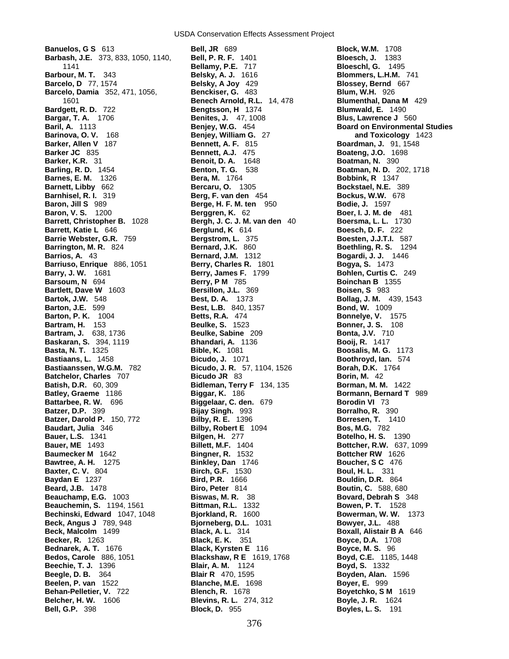**Barbash, J.E.** 373, 833, 1050, 1140, **Bell, P. R. F.** 1401 **Bloesch, J.** 1383 **Barbour, M. T.** 343 **Belsky, A. J.** 1616 **Blommers, L.H.M.** 741 **Barcelo, D** 77, 1574 **Belsky, A Joy** 429 **Blossey, Bernd** 667 **Barcelo, Damia** 352, 471, 1056, **Benckiser, G.** 483 **Blum, W.H.** 926 **Bardgett, R. D.** 722 **Bengtsson, H** 1374 **Blumwald, E.** 1490 **Bargar, T. A.** 1706 **Benites, J.** 47, 1008 **Blus, Lawrence J** 560 **Baril, A.** 1113 **Benjey, W.G.** 454 **Board on Environmental Studies Barinova, O. V.** 168 **Benjey, William G.** 27 **and Toxicology** 1423 **Barker, Allen V** 187 **Bennett, A. F. 815 Boardman, J. 91, 1548**<br> **Barker JC** 835 **Bennett, A.J.** 475 **Boateng, J.O.** 1698 **Barker, K.R.** 31 **Benoit, D. A.** 1648 **Boatman, N.** 390 **Barling, R. D.** 1454 **Benton, T. G.** 538 **Boatman, N. D.** 202, 1718 **Barnes, E. M.** 1326 **Bera, M.** 1764 **Bobbink, R** 1347 **Barnett, Libby** 662 **Bercaru, O.** 1305 **Bockstael, N.E.** 389 **Barnhisel, R. I.** 319 **Berg, F. van den** 454 **Bockus, W.W.** 678 **Baron, Jill S** 989 **Berge, H. F. M. ten** 950 **Bodie, J.** 1597 **Baron, V. S.** 1200 **Berggren, K.** 62 **Boer, I. J. M. de** 481 **Barrett, Christopher B.** 1028 **Bergh, J. C. J. M. van den** 40 **Boersma, L. L.** 1730 **Barrett, Katie L** 646 **Berglund, K** 614 **Boesch, D. F.** 222 **Barrie Webster, G.R.** 759 **Bergstrom, L.** 375 **Boesten, J.J.T.I.** 587 **Barrington, M. R.** 824 **Bernard, J.K.** 860 **Boethling, R. S.** 1294 **Barrios, A.** 43 **Bernard, J.M.** 1312 **Bogardi, J. J.** 1446 **Barriuso, Enrique** 886, 1051 **Berry, Charles R.** 1801 **Bogya, S.** 1473 **Barsoum, N** 694 **Berry, P M** 785 **Boinchan B** 1355 **Bartlett, Dave W** 1603 **Bersillon, J.L.** 369 **Boisen, S** 983 **Bartok, J.W.** 548 **Best, D. A.** 1373 **Bollag, J. M.** 439, 1543 **Barton, J.E.** 599 **Best, L.B.** 840, 1357 **Barton, P. K.** 1004 **Betts, R.A.** 474 **Bonnelye, V.** 1575<br> **Bartram, H.** 153 **Beulke, S.** 1523 **Bonner, J. S.** 108 **Bartram, H.** 153 **Beulke, S.** 1523 **Bonner, J. S.** 108 **Bartram, J.** 638, 1736 **Beulke, Sabine** 209 **Bonta, J.V.** 710 **Baskaran, S.** 394, 1119 **Bhandari, A.** 1136 **Booij, R.** 1417 **Basta, N. T.** 1325 **Bible, K.** 1081 **Boosalis, M. G.** 1173 **Bastiaans, L.** 1458 **Bicudo, J.** 1071 **Boothroyd, Ian.** 574 **Bastiaanssen, W.G.M.** 782 **Bicudo, J. R.** 57, 1104, 1526 **Borah, D.K.** 1764 **Batchelor, Charles** 707 **Bicudo JR** 83 **Borin, M.** 42 **Batish, D.R.** 60, 309 **Bidleman, Terry F** 134, 135 **Borman, M. M.** 1422 **Batley, Graeme** 1186 **Biggar, K.** 186 **Bormann, Bernard T** 989 **Battarbee, R. W.** 696 **Biggelaar, C. den.** 679 **Borodin VI** 73 **Batzer, D.P.** 399 **Bijay Singh.** 993 **Borralho, R.** 390 **Batzer, Darold P.** 150, 772 **Bilby, R. E.** 1396 **Borresen, T.** 1410 **Baudart, Julia** 346 **Bilby, Robert E** 1094 **Bos, M.G.** 782 **Bauer, L.S.** 1341 **Bilgen, H.** 277 **Botelho, H. S.** 1390 **Bauer, ME** 1493 **Billett, M.F.** 1404 **Bottcher, R.W.** 637, 1099 **Baumecker M** 1642 **Bingner, R.** 1532 **Bottcher RW** 1626 **Bawtree, A. H.** 1275 **Binkley, Dan** 1746 **Boucher, S C** 476 **Baxter, C. V.** 804 **Birch, G.F.** 1530 **Boul, H. L.** 331 **Baydan E** 1237 **Bird, P.R.** 1666 **Bouldin, D.R.** 864 **Beard, J.B.** 1478 **Biro, Peter** 814 **Boutin, C.** 588, 680 **Boutin, C. 588, 680 Boutin, C. 588, 680 Boutin, C. 588, 680 Boutin, C. 588, 680 Beauchamp, E.G.** 1003 **Biswas, M. R.** 38 **Bovard, Debrah S** 348 **Beauchemin, S.** 1194, 1561 **Bittman, R.L.** 1332 **Bowen, P. T.** 1528 **Bechinski, Edward** 1047, 1048 **Bjorkland, R.** 1600 **Bowerman, W. W.** 1373 **Beck, Angus J** 789, 948 **Bjorneberg, D.L.** 1031 **Bowyer, J.L.** 488<br>**Beck, Malcolm** 1499 **Black, A. L.** 314 **Boxall, Alistair B Beck, Malcolm** 1499 **Black, A. L.** 314 **Boxall, Alistair B A** 646 **Boxall, Alistair B A** 646 **Boxall, Alistair B A** 646 **Becker, R.** 1263 **Black, E. K.** 351 **Boyce, D.A.** 1708 **Bednarek, A. T.** 1676 **Black, Kyrsten E** 116 **Boyce, M. S.** 96 **Bedos, Carole** 886, 1051 **Blackshaw, R E** 1619, 1768 **Boyd, C.E.** 1185, 1448 **Beechie, T. J.** 1396 **Blair, A. M.** 1124 **Boyd, S.** 1332 **Beelen, P. van** 1522 **Blanche, M.E.** 1698<br> **Behan-Pelletier, V. 722 Blench, R.** 1678 **Behan-Pelletier, V.** 722 **Blench, R.** 1678 **Boyetchko, S M** 1619 **Belcher, H. W.** 1606 **Blevins, R. L.** 274, 312 **Boyle, J. R.** 1624 **Bell, G.P.** 398 **Block, D.** 955 **Boyles, L. S.** 191

**Banuelos, G S** 613 **Bell, JR** 689 **Block, W.M.** 1708 1141 **Bellamy, P.E.** 717 **Bloeschl, G.** 1495 1601 **Benech Arnold, R.L.** 14, 478 **Blumenthal, Dana M** 429 **Berry, James F.** 1799 **Bohlen, Curtis C.** 249 **Blair R** 470, 1595 **Boyden, Alan.** 1596<br> **Blanche, M.E.** 1698 **Boyer, E.** 999

**Boateng, J.O.** 1698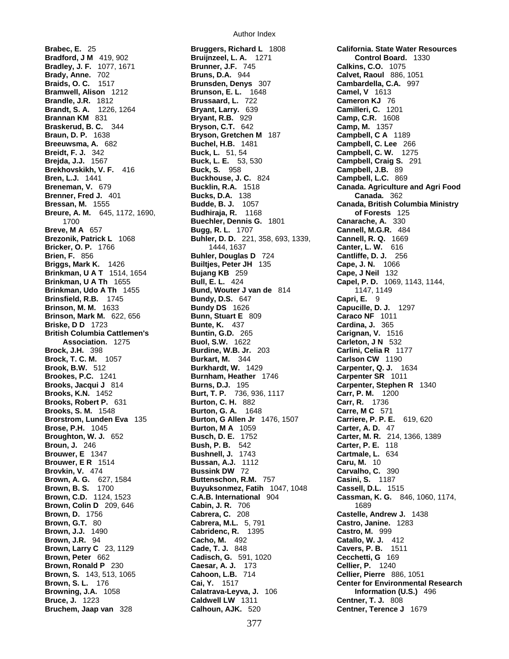**Bradley, J. F.** 1077, 1671 **Brooks, S. M.** 1548 **Burton, G. A.** 1648 **Brown, Larry C** 23, 1129 **Cade, T. J.** 848

**Brabec, E.** 25 **Bruggers, Richard L** 1808 **California. State Water Resources Bradford, J M** 419, 902 **Bruijnzeel, L. A.** 1271 **Control Board.** 1330 **Bradley, J. F.** 1077, 1671 **Brunner, J.F.** 745 **Calkins, C.O.** 1075 **Brady, Anne.** 702 **Bruns, D.A.** 944 **Calvet, Raoul** 886, 1051 **Braids, O. C.** 1517 **Brunsden, Denys** 307 **Cambardella, C.A.** 997 **Bramwell, Alison 1212 <b>Brunson, E. L. 1648** Camel, V 1613<br>**Brandle, J.R. 1812 <b>Bruns** Brussaard, L. 722 Cameron KJ 70 **Brandle, J.R.** 1812 **Brussaard, L.** 722 **Cameron KJ** 76 **Brandt, S. A.** 1226, 1264 **Bryant, Larry.** 639 **Camilleri, C.** 1201 **Brannan KM** 831 **Bryant, R.B.** 929 **Camp, C.R.** 1608 **Braskerud, B. C.** 344 **Bryson, C.T.** 642 **Camp, M.** 1357 **Braun, D. P.** 1638 **Bryson, Gretchen M** 187 **Campbell, C A** 1189 **Breeuwsma, A.** 682 **Buchel, H.B.** 1481 **Campbell, C. Lee** 266 **Breidt, F. J.** 342 **Buck, L.** 51, 54 **Campbell, C. W.** 1275 **Buck, L. E.** 53, 530 **Campbell, Craig S.** 291 **Brekhovskikh, V. F.** 416 **Buck, S.** 958 **Campbell, J.B.** 89 **Bren, L.J.** 1441 **Buckhouse, J. C.** 824 **Campbell, L.C.** 869 **Brenner, Fred J.** 401 **Bucks, D.A.** 138 **Canada.** 362 **Breure, A. M.** 645, 1172, 1690, **Budhiraja, R.** 1168 **of Forests** 125 1700 **Buechler, Dennis G.** 1801 **Canarache, A.** 330 **Breve, M A** 657 **Bugg, R. L.** 1707 **Cannell, M.G.R.** 484 **Brezonik, Patrick L** 1068 **Buhler, D. D.** 221, 358, 693, 1339, **Cannell, R. Q.** 1669 **Bricker, O. P.** 1766 **1444, 1637 Canter, L. W. 616**<br>**Buhler, Douglas D** 724 **Cantliffe, D. J.** 250 **Buhler, Douglas D** 724 **Cantliffe, D. J.** 256 **Briggs, Mark K.** 1426 **Builtjes, Peter JH** 135 **Cape, J. N.** 1066 **Brinkman, U A T** 1514, 1654 **Bujang KB** 259 **Cape, J Neil** 132 **Brinkman, U A Th** 1655 **Bull, E. L.** 424 **Capel, P. D.** 1069, 1143, 1144, **Brinkman, Udo A Th** 1455 **Bund, Wouter J van de** 814 1147, 1149 **Brinsfield, R.B.** 1745 **Bundy, D.S.** 647 **Capri, E.** 9 **Brinson, M. M.** 1633 **Bundy DS** 1626 **Capucille, D. J.** 1297 **Brinson, Mark M.** 622, 656 **Bunn, Stuart E** 809 **Caraco NF** 1011 **Briske, D D** 1723 **Bunte, K.** 437 **Cardina, J.** 365 **British Columbia Cattlemen's Buntin, G.D.** 265 **Carignan, V.** 1516 **Association.** 1275 **Buol, S.W.** 1622 **Carleton, J N** 532 **Brock, J.H.** 398 **Burdine, W.B. Jr.** 203 **Carlini, Celia R** 1177 **Brock, T. C. M.** 1057 **Burkart, M.** 344 **Carlson CW** 1190 **Brook, B.W.** 512 **Burkhardt, W.** 1429 **Carpenter, Q. J.** 1634 **Brookes, P.C.** 1241 **Burnham, Heather** 1746 **Carpenter SR** 1011 **Brooks, Jacqui J** 814 **Burns, D.J.** 195 **Carpenter, Stephen R** 1340 **Brooks, K.N.** 1452 **Burt, T. P.** 736, 936, 1117 **Carr, P. M.** 1200 **Brooks, Robert P.** 631 **Burton, C. H.** 882 **Carr, R.** 1736 **Brorstrom, Lunden Eva** 135 **Burton, G Allen Jr** 1476, 1507 **Carriere, P. P. E.** 619, 620 **Brose, P.H.** 1045 **Burton, M A** 1059 **Carter, A. D.** 47 **Broughton, W. J.** 652 **Busch, D. E.** 1752 **Carter, M. R.** 214, 1366, 1389 **Broun, J.** 246 **Bush, P. B.** 542 **Carter, P. E.** 118 **Brouwer, E** 1347 **Bushnell, J.** 1743 **Cartmale, L.** 634 **Brouwer, E R** 1514 **Bussan, A.J.** 1112 **Caru, M.** 10 **Brovkin, V.** 474 **Bussink DW** 72 **Carvalho, C.** 390 **Brown, A. G.** 627, 1584 **Buttenschon, R.M.** 757 **Casini, S.** 1187 **Brown, B. S.** 1700 **Buyuksonmez, Fatih** 1047, 1048 **Cassell, D.L.** 1515 **Brown, C.D.** 1124, 1523 **C.A.B. International** 904 **Cassman, K. G.** 846, 1060, 1174, **Brown, Colin D** 209, 646 **Cabin, J. R.** 706 **Cabin, J. R. 706** 1689 **Brown, D.** 1756 **Cabrera, C.** 208 **Castelle, Andrew J.** 1438 **Brown, G.T.** 80 **Cabrera, M.L.** 5, 791 **Castro, Janine.** 1283 **Brown, J.J.** 1490 **Cabridenc, R.** 1395 **Castro, M.** 999 **Brown, J.R.** 94 **Cacho, M.** 492 **Catallo, W. J.** 412<br>**Brown, Larry C** 23, 1129 **Cade, T. J.** 848 **Cavers, P. B.** 1511 **Brown, Peter** 662 **Cadisch, G.** 591, 1020 **Cecchetti, G** 169 **Brown, Ronald P** 230 **Caesar, A. J.** 173 **Cellier, P.** 1240 **Brown, S.** 143, 513, 1065 **Cahoon, L.B.** 714 **Cellier, Pierre** 886, 1051 **Browning, J.A.** 1058 **Calatrava-Leyva, J.** 106 **Information (U.S.)** 496 **Bruce, J.** 1223 **Caldwell LW** 1311 **Centner, T. J.** 808 **Bruchem, Jaap van** 328 **Calhoun, AJK.** 520 **Centner, Terence J** 1679

**Breneman, V.** 679 **Bucklin, R.A.** 1518 **Canada. Agriculture and Agri Food Bressan, M.** 1555 **Budde, B. J.** 1057 **Canada, British Columbia Ministry Brown, S. L.** 176 **Cai, Y.** 1517 **Center for Environmental Research**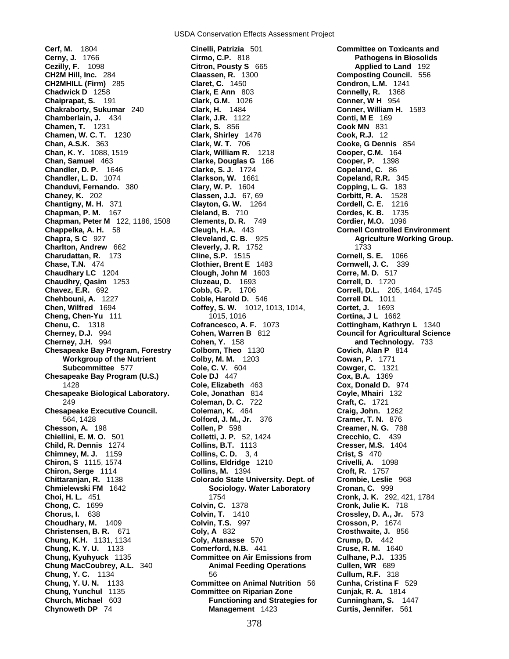**Cerf, M.** 1804 **Cinelli, Patrizia** 501 **Committee on Toxicants and Cerny, J.** 1766 **Cirmo, C.P.** 818 **Pathogens in Biosolids Cezilly, F.** 1098 **Citron, Pousty S** 665 **CH2M Hill, Inc.** 284 **Claassen, R.** 1300 **Composting Council.** 556 **CH2MHILL (Firm)** 285 **Claret, C.** 1450 **Condron, L.M.** 1241 **Chadwick D** 1258 **Clark, E Ann** 803 **Connelly, R.** 1368 **Chaiprapat, S.** 191 **Clark, G.M.** 1026 **Conner, W H** 954 **Chakraborty, Sukumar** 240 **Clark, H.** 1484 **Conner, William H.** 1583 **Chamberlain, J.** 434 **Clark, J.R.** 1122 **Conti, M E** 169 **Chamen, T.** 1231 **Clark, S.** 856 **Cook MN** 831 **Chamen, W. C. T.** 1230 **Clark, Shirley** 1476 **Cook, R.J.** 12 **Chan, A.S.K.** 363 **Clark, W. T.** 706 **Cooke, G Dennis** 854 **Chan, K. Y.** 1088, 1519 **Clark, William R.** 1218 **Cooper, C.M.** 164 **Chan, Samuel** 463 **Clarke, Douglas G** 166 **Cooper, P.** 1398 **Chandler, D. P.** 1646 **Clarke, S. J.** 1724 **Copeland, C.** 86 **Chandler, L. D.** 1074 **Clarkson, W.** 1661 **Copeland, R.R.** 345 **Chanduvi, Fernando.** 380 **Clary, W. P.** 1604 **Copping, L. G.** 183 **Chaney, K.** 202 **Classen, J.J.** 67, 69 **Corbitt, R. A.** 1528 **Chantigny, M. H.** 371 **Clayton, G. W.** 1264 **Cordell, C. E.** 1216 **Chapman, P. M.** 167 **Cleland, B.** 710 **Cordes, K. B.** 1735 **Chapman, Peter M** 122, 1186, 1508 **Clements, D. R.** 749 **Cordier, M.O.** 1096 **Chappelka, A. H.** 58 **Cleugh, H.A.** 443 **Cornell Controlled Environment Chapra, S C** 927 **Cleveland, C. B.** 925 **Agriculture Working Group. Charlton, Andrew** 662 **Cleverly, J. R.** 1752 1733 **Charudattan, R. 173 Cline, S.P. 1515<br>
<b>Chase, T.N. 474 Clothier, Brent E Chaudhary LC** 1204 **Clough, John M** 1603 **Corre, M. D.** 517<br> **Chaudhry, Qasim** 1253 **Cluzeau, D.** 1693 **Correll, D.** 1720<br> **Chavez, E.R.** 692 **Cobb, G. P.** 1706 **Correll, D.L.** 205 **Chaudhry, Qasim** 1253 **Chavez, E.R.** 692 **Cobb, G. P.** 1706 **Correll, D.L.** 205, 1464, 1745 **Chehbouni, A.** 1227 **Coble, Harold D.** 546 **Correll DL** 1011 **Chen, Wilfred** 1694 **Coffey, S. W.** 1012, 1013, 1014, **Cortet, J.** 1693 **Cheng, Chen-Yu** 111 1015, 1016 **Cortina, J L** 1662 **Chenu, C.** 1318 **Cofrancesco, A. F.** 1073 **Cottingham, Kathryn L** 1340 **Cherney, D.J.** 994 **Cohen, Warren B** 812 **Council for Agricultural Science Chesapeake Bay Program, Forestry Colborn, Theo** 1130 **Covich, Alan P** 814 **Chesapeake Bay Program (U.S.) Cole DJ** 447 **Chesapeake Biological Laboratory. Cole, Jonathan** 814 **Coyle, Mhairi** 132 **Chesapeake Executive Council. Coleman, K.** 464 **Craig, John.** 1262 **Chesson, A.** 198 **Collen, P** 598 **Creamer, N. G.** 788 **Chiellini, E. M. O.** 501 **Colletti, J. P.** 52, 1424 **Crecchio, C.** 439 **Child, R. Dennis** 1274 **Collins, B.T.** 1113 **Cresser, M.S.** 1404 **Chimney, M. J.** 1159 **Collins, C. D.** 3, 4 **Crist, S** 470 **Chiron, S** 1115, 1574 **Collins, Eldridge** 1210 **Crivelli, A.** 1098 **Chiron, Serge** 1114 **Collins, M.** 1394 **Croft, R.** 1757 **Chittaranjan, R.** 1138 **Colorado State University. Dept. of Crombie, Leslie** 968 **Chmielewski FM** 1642 **Sociology. Water Laboratory Cronan, C.** 999 **Choi, H. L.** 451 **Cronan, C.** 292 **Chong, C.** 1699 **Colvin, C.** 1378 **Cronk, Julie K.** 718 **Chorus, I.** 638 **Colvin, T.** 1410 **Crossley, D. A., Jr.** 573 **Choudhary, M.** 1409 **Colvin, T.S.** 997 **Crosson, P.** 1674 **Christensen, B. R.** 671 **Coly, A** 832 **Crosthwaite, J.** 856 **Chung, K.H.** 1131, 1134 **Coly, Atanasse** 570 **Crump, D.** 442 **Chung, K. Y. U.** 1133 **Comerford, N.B.** 441 **Cruse, R. M.** 1640 **Chung, Kyuhyuck** 1135 **Committee on Air Emissions from Culhane, P.J.** 1335 **Chung MacCoubrey, A.L.** 340 **Animal Feeding Operations Cullen, WR** 689 **Chung, Y. C.** 1134 56 **Cullum, R.F.** 318 **Chung, Y. U. N.** 1133 **Committee on Animal Nutrition** 56 **Cunha, Cristina F** 529 **Church, Michael** 603 **Functioning and Strategies for Cunningham, S.** 1447 **Chynoweth DP** 74 **Management** 1423 **Curtis, Jennifer.** 561

**Chase, T.N.** 474 **Clothier, Brent E** 1483 **Cornwell, J. C.** 339 **Cohen, Y.** 158 **and Technology.** 733 **Workgroup of the Nutrient Colby, M. M. 1203 Cowan, P. 1771<br>
<b>Subcommittee 577** Cole, C. V. 604 Cowger, C. 132 **Subcommittee** 577 **Cole, C. V.** 604 **Cowger, C.** 1321<br> **Cole DJ** 447 **Cole DJ 261 Cole Cole DJ** 604 **Cox, B.A.** 1369 1428 **Cole, Elizabeth** 463 **Cox, Donald D.** 974 249 **Coleman, D. C.** 722 **Craft, C.** 1721 564, 1428 **Colford, J. M., Jr.** 376 **Cramer, T. N.** 876 **Cronk, J. K.** 292, 421, 1784 **Committee on Riparian Zone Cunjak, R. A.** 1814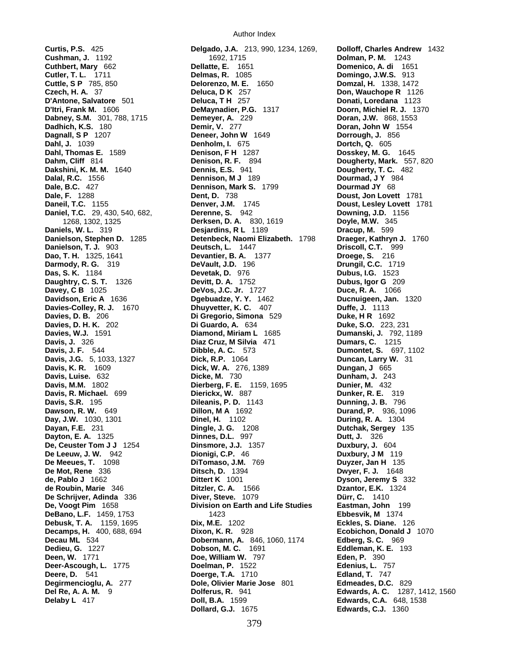**De Schrijver, Adinda** 336 **Deere, D.** 541 **Doerge, T.A.** 1710

**Curtis, P.S.** 425 **Delgado, J.A.** 213, 990, 1234, 1269, **Dolloff, Charles Andrew** 1432 **Cushman, J.** 1192 **1692, 1715 1692, 1715 <b>Dolman, P. M.** 1243<br> **Cuthbert, Mary** 662 **Dellatte, E.** 1651 **Domenico, A. di** 169<br> **Cutler, T. L.** 1711 **Delmas, R.** 1085 **Domingo, J.W.S.** 913 **Cutler, T. L.** 1711 **Delmas, R.** 1085 **Domingo, J.W.S.** 913 **Cuttle, S P** 785, 850 **Delorenzo, M. E.** 1650 **Domzal, H.** 1338, 1472 **Czech, H. A.** 37 **Deluca, D K** 257 **Don, Wauchope R** 1126 **D'Antone, Salvatore** 501 **Deluca, T H** 257 **Donati, Loredana** 1123 **D'Itri, Frank M.** 1606 **DeMaynadier, P.G.** 1317 **Doorn, Michiel R. J.** 1370 **Dabney, S.M.** 301, 788, 1715 **Demeyer, A.** 229 **Doran, J.W.** 868, 1553 **Dadhich, K.S.** 180 **Demir, V.** 277 **Doran, John W** 1554 **Dagnall, S P** 1207 **Deneer, John W** 1649 **Dorrough, J.** 856 **Dahl, J.** 1039 **Denholm, I.** 675 **Dortch, Q.** 605 **Dahl, Thomas E.** 1589 **Denison, F H** 1287 **Dosskey, M. G.** 1645 **Dahm, Cliff** 814 **Denison, R. F.** 894 **Dougherty, Mark.** 557, 820 **Dakshini, K. M. M.** 1640 **Dennis, E.S.** 941 **Dougherty, T. C.** 482 **Dalal, R.C.** 1556 **Dougherty, T. C. 482 Dougherty, T. C.** 482 **Dennison, M J** 189 **Dourmad, J Y** 984 **Dale, B.C.** 427 **Dennison, Mark S.** 1799 **Dourmad JY** 68 **Dale, F.** 1288 **Dent, D.** 738 **Doust, Jon Lovett** 1781 **Daneil, T.C.** 1155 **Denver, J.M.** 1745 **Doust, Lesley Lovett** 1781 **Daniel, T.C.** 29, 430, 540, 682, **Derenne, S.** 942 **Downing, J.D.** 1156 1268, 1302, 1325 **Derksen, D. A.** 830, 1619 **Doyle, M.W.** 345 **Daniels, W. L.** 319 **Desjardins, R L** 1189 **Dracup, M.** 599 **Danielson, Stephen D.** 1285 **Detenbeck, Naomi Elizabeth.** 1798 **Draeger, Kathryn J.** 1760 **Danielson, T. J.** 903 **Deutsch, L.** 1447 **Driscoll, C.T.** 999 **Dao, T. H.** 1325, 1641 **Devantier, B. A.** 1377 **Droege, S.** 216 **Darmody, R. G.** 319 **DeVault, J.D.** 196 **Drungil, C.C.** 1719 **Das, S. K.** 1184 **Devetak, D.** 976 **Dubus, I.G.** 1523 **Daughtry, C. S. T.** 1326 **Devitt, D. A.** 1752 **Dubus, Igor G** 209 **Davey, C B** 1025 **DeVos, J.C. Jr.** 1727 **Duce, R. A.** 1066 **Davidson, Eric A** 1636 **Dgebuadze, Y. Y.** 1462 **Ducnuigeen, Jan.** 1320 **Davies-Colley, R. J.** 1670 **Dhuyvetter, K. C.** 407 **Duffe, J.** 1113 **Davies, D. B.** 206 **Di Gregorio, Simona** 529 **Duke, H R** 1692 **Davies, D. H. K.** 202 **Di Guardo, A.** 634 **Duke, S.O.** 223, 231 **Davies, W.J.** 1591 **Diamond, Miriam L** 1685 **Dumanski, J.** 792, 1189 **Davis, J.** 326 **Diaz Cruz, M Silvia** 471 **Dumars, C.** 1215 **Davis, J. F.** 544 **Dibble, A. C.** 573 **Dumontet, S.** 697, 1102 **Davis, J.G.** 5, 1033, 1327 **Dick, R.P.** 1064 **Duncan, Larry W.** 31 **Davis, K. R.** 1609 **Dick, W. A.** 276, 1389 **Dungan, J** 665 **Davis, Luise.** 632 **Dicke, M.** 730 **Dunham, J.** 243 **Davis, M.M.** 1802 **Dierberg, F. E.** 1159, 1695 **Dunier, M.** 432 **Davis, R. Michael.** 699 **Dierickx, W.** 887 **Dunker, R. E.** 319 **Davis, S.R.** 195 **Dileanis, P. D.** 1143 **Dunning, J. B.** 796 **Dillon, M.A.** 1692 **Durand, P.** 936, 1096 **Day, J.W.** 1030, 1301 **Dinel, H.** 1102 **During, R. A.** 1304 **Dayan, F.E.** 231 **Dingle, J. G.** 1208 **Dutchak, Sergey** 135 **Dayton, E. A.** 1325 **Dinnes, D.L.** 997 **Dutt, J.** 326 **De, Ceuster Tom J J** 1254 **Dinsmore, J.J.** 1357 **Duxbury, J.** 604 **De Leeuw, J. W.** 942 **Dionigi, C.P.** 46 **Duxbury, J M** 119 **De Meeues, T.** 1098 **DiTomaso, J.M.** 769 **Duyzer, Jan H** 135 **Ditsch, D.** 1394 **Dwyer, F. J.** 1648 **de, Pablo J** 1662 **Dittert K** 1001 **Dyson, Jeremy S** 332 **de Roubin, Marie** 346 **Ditzler, C. A.** 1566 **Ditain Blue Bouchers de Roubin, Marie** 346 **Ditzler, C. A.** 1566 **Dzantor, E.K.** 1324 **De, Voogt Pim** 1658 **Division on Earth and Life Studies Eastman, John** 199 **DeBano, L.F.** 1459, 1753 1423 1423 **Ebbesvik, M** 1374 **Debusk, T. A.** 1159, 1695 **Dix, M.E.** 1202 **Eckles, S. Diane.** 126 **Decamps, H.** 400, 688, 694 **Dixon, K. R.** 928 **Ecobichon, Donald J** 1070 **Decau ML** 534 **Dobermann, A.** 846, 1060, 1174 **Edberg, S. C.** 969 **Dedieu, G.** 1227 **Dobson, M. C.** 1691 **Eddleman, K. E.** 193 **Deen, W.** 1771 **Doe, William W.** 797 **Eden, P.** 390 **Deer-Ascough, L.** 1775 **Doelman, P.** 1522 **Edenius, L.** 757 **Degirmencioglu, A.** 277 **Dole, Olivier Marie Jose** 801 **Edmeades, D.C.** 829 **Del Re, A. A. M.** 9 **Dolferus, R.** 941 **Edwards, A. C.** 1287, 1412, 1560 **Delaby L** 417 **Doll, B.A.** 1599 **Edwards, C.A.** 648, 1538 **Dollard, G.J.** 1675 **Edwards, C.J.** 1360

**Domenico, A. di** 1651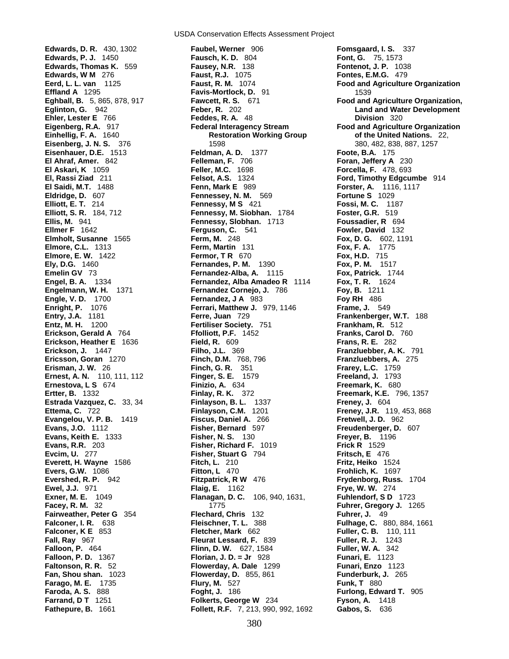**Eldridge, D.** 607 **Fennessey, N. M.** 569 **Fall, Ray** 967 **Fleurat Lessard, F. 839 Falloon, P.** 464 **Flinn, D. W.** 627, 1584

USDA Conservation Effects Assessment Project

**Edwards, D. R.** 430, 1302 **Faubel, Werner** 906 **Fomsgaard, I. S.** 337 **Edwards, P. J.** 1450 **Fausch, K. D.** 804 **Font, G.** 75, 1573 **Edwards, Thomas K.** 559 **Fausey, N.R.** 138 **Fontenot, J. P.** 1038 **Edwards, W M** 276 **Faust, R.J.** 1075 **Fontes, E.M.G.** 479 **Eerd, L. L. van** 1125 **Faust, R. M.** 1074 **Food and Agriculture Organization Effland A** 1295 **Favis-Mortlock, D.** 91 1539 **Eghball, B.** 5, 865, 878, 917 **Fawcett, R. S.** 671 **Food and Agriculture Organization, Eglinton, G.** 942 **Feber, R.** 202 **Land and Water Development Ehler, Lester E** 766 **Feddes, R. A.** 48 **Division** 320 Eigenberg, R.A. 917 **Federal Interagency Stream** Food and Agriculture Organization<br>**Einhellig, F. A. 1640 Restoration Working Group** of the United Nations. 22, **Eisenberg, J. N. S.** 376 **1598** 1598 **1598** 380, 482, 838, 887, 1257 **Eisenhauer, D.E.** 1513 **Feldman, A. D.** 1377 **Foote, B.A.** 175 **El Ahraf, Amer.** 842 **Felleman, F.** 706 **Foran, Jeffery A** 230 **El Askari, K** 1059 **Feller, M.C.** 1698 **Forcella, F.** 478, 693 **El, Rassi Ziad** 211 **Felsot, A.S.** 1324 **Ford, Timothy Edgcumbe** 914 **El Saidi, M.T.** 1488 **Fenn, Mark E** 989 **Forster, A.** 1116, 1117 **Elliott, E. T.** 214 **Fennessy, M S** 421 **Fossi, M. C.** 1187 **Elliott, S. R.** 184, 712 **Fennessy, M. Siobhan.** 1784 **Foster, G.R.** 519 **Ellis, M.** 941 **Fennessy, Slobhan.** 1713 **Foussadier, R** 694 **Ellmer F** 1642 **Ferguson, C.** 541 **Fowler, David** 132 **Elmholt, Susanne** 1565 **Ferm, M.** 248 **Fox, D. G.** 602, 1191 **Elmore, C.L.** 1313 **Ferm, Martin** 131 **Fox, F. A.** 1775 **Elmore, E. W.** 1422 **Fermor, T R 670 <b>Fox, H.D.** 715<br> **Ely, D.G.** 1460 **Fox, P. M. Fernandes, P. M.** 1390 **Fox, P. M.** 1517 **Fernandes, P. M. 1390 Emelin GV** 73 **Fernandez-Alba, A.** 1115 **Fox, Patrick.** 1744<br> **Forgel, B. A.** 1334 **Fernandez, Alba Amadeo R** 1114 **Fox, T. R.** 1624 **Fernandez, Alba Amadeo R** 1114 **Engelmann, W. H.** 1371 **Fernandez Cornejo, J.** 786 **Foy, B.** 1211 **Engle, V. D.** 1700 **Fernandez, J A** 983 **Foy RH** 486<br> **Enright, P.** 1076 **Fernandez, J A 983 Formandez, J A 979, 1146 Frame, J.** 5 **Ferrari, Matthew J.** 979, 1146 **Frame, J.** 549 **Entry, J.A.** 1181 **Ferre, Juan** 729 **Frankenberger, W.T.** 188 **Entz, M. H.** 1200 **Fertiliser Society.** 751 **Frankham, R.** 512 **Erickson, Gerald A** 764 **Ffolliott, P.F.** 1452 **Franks, Carol D.** 760 **Erickson, Heather E** 1636 **Field, R.** 609 **Frans, R. E.** 282 **Erickson, J.** 1447 **Filho, J.L.** 369 **Franzluebber, A. K.** 791 **Ericsson, Goran** 1270 **Finch, D.M.** 768, 796 **Franzluebbers, A.** 275 **Erisman, J. W.** 26 **Finch, G. R.** 351 **Frarey, L.C.** 1759 **Ernest, A. N.** 110, 111, 112 **Finger, S. E.** 1579 **Freeland, J.** 1793 **Ernestova, L S** 674 **Finizio, A.** 634 **Freemark, K.** 680 **Ertter, B.** 1332 **Finlay, R. K.** 372 **Freemark, K.E.** 796, 1357 **Estrada Vazquez, C.** 33, 34 **Finlayson, B. L. 1337 Freney, J. 604**<br>**Ettema, C. 722 Finlayson, C.M. 1201 Freney, J.R. 11 Ettema, C.** 722 **Finlayson, C.M.** 1201 **Freney, J.R.** 119, 453, 868 **Evangelou, V. P. B.** 1419 **Fiscus, Daniel A.** 266 **Fretwell, J. D.** 962 **Evans, J.O.** 1112 **Fisher, Bernard** 597 **Freudenberger, D.** 607 **Evans, Keith E.** 1333 **Fisher, N. S.** 130 **Freyer, B.** 1196 **Evans, R.R.** 203 **Fisher, Richard F.** 1019 **Frick R** 1529 **Evcim, U.** 277 **Fisher, Stuart G** 794 **Fritsch, E** 476 **Everett, H. Wayne** 1586 **Fitch, L.** 210 **Fritz, Heiko** 1524 **Evers, G.W.** 1086 **Fitton, L** 470 **Frohlich, K.** 1697 **Evershed, R. P.** 942 **Fitzpatrick, R W** 476 **Frydenborg, Russ.** 1704 **Ewel, J.J.** 971 **Flaig, E.** 1162 **Frye, W. W.** 274 **Exner, M. E.** 1049 **Flanagan, D. C.** 106, 940, 1631, **Fuhlendorf, S D** 1723 **Facey, R. M.** 32 1775 **Fuhrer, Gregory J.** 1265 **Fairweather, Peter G** 354 **Flechard, Chris** 132 **Fuhrer, J.** 49 **Falconer, I. R.** 638 **Fleischner, T. L.** 388 **Fulhage, C.** 880, 884, 1661 **Falconer, K E** 853 **Fletcher, Mark** 662 **Fuller, C. B.** 110, 111 **Falloon, P. D.** 1367 **Florian, J. D. = Jr** 928 **Funari, E.** 1123 **Faltonson, R. R.** 52 **Flowerday, A. Dale** 1299 **Funari, Enzo** 1123 **Fan, Shou shan.** 1023 **Flowerday, D.** 855, 861 **Funderburk, J.** 265 **Farago, M. E.** 1735 **Flury, M.** 527 **Funk, T** 880 **Faroda, A. S.** 888 **Foght, J.** 186 **Furlong, Edward T.** 905 **Farrand, D T** 1251 **Folkerts, George W** 234 **Fyson, A.** 1418 **Fathepure, B.** 1661 **Follett, R.F.** 7, 213, 990, 992, 1692 **Gabos, S.** 636

**Restoration Working Group 6. A. 1640 Formula Control Nations.** 22,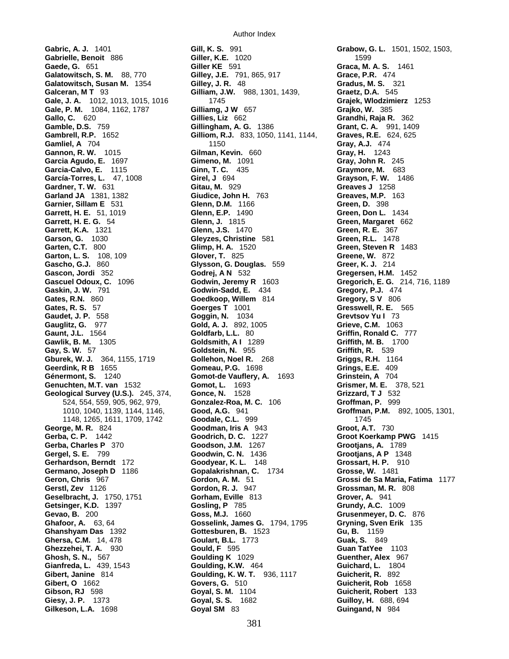**Gabric, A. J.** 1401 **Gill, K. S.** 991 **Grabow, G. L.** 1501, 1502, 1503, **Gabrielle, Benoit** 886 **Giller, K.E.** 1020 **Gabrielle, Benoit** 886 **Giller K.E.** 1020 **Graca, M. Graca, M. Galatowitsch, S. M.** 88, 770 **Gilley, J.E.** 791, 865, 917 **Grace, P.R.** 474 **Galatowitsch, Susan M.** 1354 **Gilley, J. R.** 48 **Gradus, M. S.** 321 **Galceran, M T** 93 **Gilliam, J.W.** 988, 1301, 1439, **Graetz, D.A.** 545 **Gale, J. A.** 1012, 1013, 1015, 1016 1745 **Grajek, Wlodzimierz** 1253 **Gale, P. M.** 1084, 1162, 1787 **Gilliamg, J W** 657 **Grajko, W.** 385 **Gallo, C.** 620 **Gillies, Liz** 662 **Grandhi, Raja R.** 362 **Gamble, D.S.** 759 **Gillingham, A. G.** 1386 **Grant, C. A.** 991, 1409 **Gambrell, R.P.** 1652 **Gilliom, R.J.** 833, 1050, 1141, 1144, **Gamliel, A** 704 1150 **Gray, A.J.** 474 **Gannon, R. W.** 1015 **Gilman, Kevin.** 660 **Garcia Agudo, E.** 1697 **Gimeno, M.** 1091 **Gray, John R.** 245 **Garcia-Calvo, E.** 1115 **Ginn, T. C.** 435 **Graymore, M.** 683 **García-Torres, L.** 47, 1008 **Girel, J** 694 **Grayson, F. W.** 1486 **Gardner, T. W.** 631 **Gitau, M.** 929 **Greaves J** 1258 **Garland JA** 1381, 1382 **Giudice, John H.** 763 **Greaves, M.P.** 163 **Garnier, Sillam E** 531 **Glenn, D.M.** 1166 **Green, D.** 398 **Garrett, H. E.** 51, 1019 **Glenn, E.P.** 1490 **Green, Don L.** 1434 **Garrett, H. E. G.** 54 **Glenn, J.** 1815 **Green, Margaret** 662 **Garrett, K.A.** 1321 **Glenn, J.S.** 1470 **Green, R. E.** 367 **Garson, G.** 1030 **Gleyzes, Christine** 581 **Green, R.L.** 1478 **Garten, C.T.** 800 **Glimp, H. A.** 1520 **Green, Steven R** 1483 **Garton, L. S.** 108, 109 **Glover, T.** 825 **Greene, W.** 872 **Gascho, G.J.** 860 **Glysson, G. Douglas.** 559 **Gascon, Jordi** 352 **Godrej, A N** 532 **Gascon, Jordi** 352 **Godrej, A N** 532 **Gregersen, H.M.** 1452 **Gaskin, J. W. 791 <b>Godwin-Sadd, E.** 434 **Gates, R.N.** 860 **Goedkoop, Willem** 814 **Gregory, S V** 806 **Gates, R. S.** 57 **Goerges T** 1001 **Gresswell, R. E.** 565 **Gates, R. S.** 57 **Goerges T** 1001 **Gresswell, R. E.**<br> **Gaudet, J. P.** 558 **Goggin, N.** 1034 **Grevtsov Yu I** 73 **Gauglitz, G.** 977 **Gold, A. J.** 892, 1005 **Grieve, C.M.** 1063 **Gawlik, B. M.** 1305 **Goldsmith, A I** 1289 **Griffith, M. B.** 1700 **Gay, S. W.** 57 **Goldstein, N.** 955 **Griffith, R.** 539 **Gburek, W. J.** 364, 1155, 1719 **Gollehon, Noel R.** 268 **Griggs, R.H.** 1164 **Geerdink, R B** 1655 **Gomeau, P.G.** 1698 **Génermont, S.** 1240 **Gomot-de Vauflery, A.** 1693 **Grinstein, A** 704 **Genuchten, M.T. van** 1532 **Gomot, L.** 1693 **Grismer, M. E.** 378, 521 **Geological Survey (U.S.).** 245, 374, **Gonce, N.** 1528 **Grizzard, T J** 532 **George, M. R.** 824 **Goodman, Iris A** 943 **Groot, A.T.** 730 **Gerba, C. P.** 1442 **Goodrich, D. C.** 1227 **Groot Koerkamp PWG** 1415 **Gerba, Charles P** 370 **Goodson, J.M.** 1267 **Grootjans, A.** 1789 **Gergel, S. E.** 799 **Goodwin, C. N.** 1436 **Grootjans, A P** 1348 **Gerhardson, Berndt** 172 **Goodyear, K. L.** 148 **Grossart, H. P.** 910 **Germano, Joseph D** 1186 **Gopalakrishnan, C.** 1734 **Geron, Chris** 967 **Gordon, A. M.** 51 **Gerstl, Zev** 1126 **Gordon, R. J.** 947 **Grossman, M. R.** 808 **Geselbracht, J.** 1750, 1751 **Gorham, Eville** 813 **Getsinger, K.D.** 1397 **Gosling, P** 785 **Grundy, A.C.** 1009 **Ghafoor, A.** 63, 64 **Gosselink, James G.** 1794, 1795 **Gryning, Sven Erik** 135 **Ghanshyam Das** 1392 **Gottesburen, B.** 1523 **Ghersa, C.M.** 14, 478 **Goulart, B.L.** 1773 **Guak, S.** 849 **Ghezzehei, T. A.** 930 **Gould, F** 595 **Guan TatYee** 1103 **Ghosh, S. N.,** 567 **Goulding K** 1029 **Guenther, Alex** 967 **Gianfreda, L.** 439, 1543 **Goulding, K.W.** 464 **Guichard, L.** 1804 **Gibert, Janine** 814 **Goulding, K. W. T.** 936, 1117 **Guicherit, R.** 892 **Gibert, O** 1662 **Govers, G.** 510 **Guicherit, Rob** 1658 **Gibson, RJ** 598 **Goyal, S. M.** 1104 **Guicherit, Robert** 133 **Giesy, J. P.** 1373 **Goyal, S. S.** 1682 **Guilloy, H.** 688, 694 **Gilkeson, L.A.** 1698 **Goyal SM** 83 **Guingand, N** 984

**Goldfarb, L.L.** 80 **Griffin, Ronald C.** 777 524, 554, 559, 905, 962, 979, **Gonzalez-Roa, M. C.** 106 **Groffman, P.** 999 1010, 1040, 1139, 1144, 1146, **Good, A.G.** 941 **Groffman, P.M.** 892, 1005, 1301, 1148, 1265, 1611, 1709, 1742 **Goodale, C.L.** 999 1745 **Geron, Chris** 967 **Gordon, A. M.** 51 **Grossi de Sa Maria, Fatima** 1177

**Graca, M. A. S.** 1461 **Gregorich, E. G.** 214, 716, 1189<br>**Gregory, P.J.** 474 **Grusenmeyer, D. C.** 876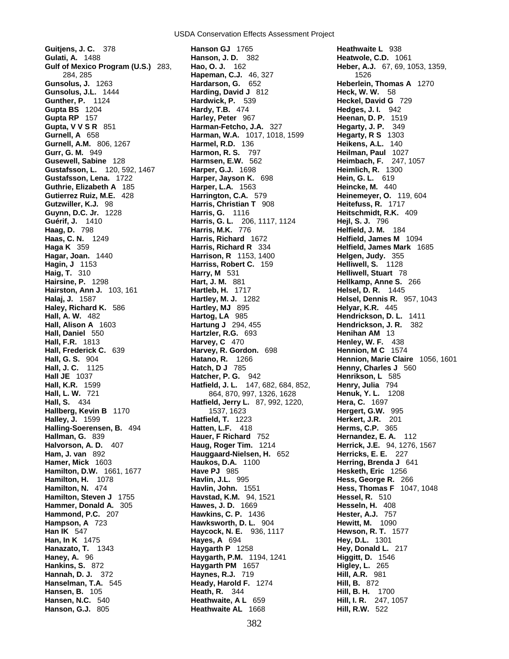**Gurnell, A.M.** 806, 1267<br>**Gurr, G. M.** 949 **Gustafsson, L.** 120, 592, 1467 **Harper, G.J.** 1698 **Guthrie, Elizabeth A** 185 **Harper, L.A.** 1563 **Hagar, Joan.** 1440 **Harrison, R** 1153, 1400 **Hall, Frederick C.** 639 **Harvey, R. Gordon.** 698 **Hallberg, Kevin B** 1170 1537, 1623 **Hammond, P.C.** 207 **Hawkins, C. P.** 1436 **Hannah, D. J.** 372 **Haynes, R.J.** 719 **Hill, A.R.** 981 **Hanson, G.J.** 805 **Heathwaite AL** 1668 **Hill, R.W.** 522

**Guitjens, J. C.** 378 **Hanson GJ** 1765 **Heathwaite L** 938 **Hanson, J. D.** 382 **Heatwole, C.D.** 1061<br> **Hanson, O. J.** 162 **Heber, A.J.** 67, 69, 1 **Gulf of Mexico Program (U.S.)** 283, **Hao, O. J.** 162 **Heber, A.J.** 67, 69, 1053, 1359, 284, 285 **Hapeman, C.J.** 46, 327 1526 **Hardarson, G.** 652 **Heberlein, Thomas A** 1270 **Gunsolus, J.L.** 1444 **Harding, David J** 812 **Heck, W. W.** 58 **Gunther, P.** 1124 **Hardwick, P.** 539 **Heckel, David G** 729 **Gupta BS** 1204 **Hardy, T.B.** 474 **Hedges, J. I.** 942 **Gupta RP** 157 **Harley, Peter** 967 **Heenan, D. P.** 1519 **Gupta, V V S R** 851 **Harman-Fetcho, J.A.** 327 **Hegarty, J. P.** 349 **Gurnell, A** 658 **Harman, W.A.** 1017, 1018, 1599 **Hegarty, R S** 1303 **Harmon, R. S. 797 <b>Heilman, Paul** 1027<br> **Harmsen, E.W.** 562 **Heimbach, F. 247, Gusewell, Sabine** 128 **Harmsen, E.W.** 562 **Heimbach, F.** 247, 1057 **Gustafsson, Lena.** 1722 **Harper, Jayson K.** 698 **Hein, G. L.** 619 **Gutierrez Ruiz, M.E.** 428 **Harrington, C.A.** 579 **Heinemeyer, O.** 119, 604 **Gutzwiller, K.J.** 98 **Harris, Christian T** 908 **Heitefuss, R.** 1717 **Guynn, D.C. Jr.** 1228 **Harris, G.** 1116 **Heitschmidt, R.K.** 409 **Guérif, J.** 1410 **Harris, G. L.** 206, 1117, 1124 **Hejl, S. J.** 796 **Haag, D.** 798 **Harris, M.K.** 776 **Helfield, J. M.** 184 **Haas, C. N.** 1249 **Harris, Richard** 1672 **Helfield, James M** 1094 **Haga K** 359 **Harris, Richard R** 334 **Helfield, James Mark** 1685 **Hagin, J** 1153 **Harriss, Robert C.** 159 **Helliwell, S.** 1128 **Haig, T.** 310 **Harry, M** 531 **Helliwell, Stuart** 78 **Hart, J. M. 881 <b>Hellkamp, Anne S.** 266 **Hairston, Ann J.** 103, 161 **Hartleb, H.** 1717 **Helsel, D. R.** 1445 **Halaj, J.** 1587 **Hartley, M. J.** 1282 **Helsel, Dennis R.** 957, 1043 **Haley, Richard K.** 586 **Hartley, MJ** 895 **Helyar, K.R.** 445 **Hall, A. W.** 482 **Hartog, LA** 985 **Hendrickson, D. L.** 1411 **Hall, Alison A** 1603 **Hartung J** 294, 455 **Hendrickson, J. R.** 382 **Hall, Daniel** 550 **Hartzler, R.G.** 693 **Henihan AM** 13 **Hall, F.R.** 1813 **Harvey, C** 470 **Henley, W. F.** 438 **Hall, G. S.** 904 **Hatano, R.** 1266 **Hennion, Marie Claire** 1056, 1601 **Hall, J. C.** 1125 **Hatch, D J** 785 **Henny, Charles J** 560 **Hall JE** 1037 **Hatcher, P. G.** 942 **Henrikson, L** 585 **Hall, K.R.** 1599 **Hatfield, J. L.** 147, 682, 684, 852, **Henry, Julia** 794 **Hall, L. W.** 721 864, 870, 997, 1326, 1628 **Henuk, Y. L.** 1208 **Hall, S.** 434 **Hatfield, Jerry L.** 87, 992, 1220, **Hera, C.** 1697 **Halley, J.** 1599 **Hatfield, T.** 1223 **Herkert, J.R.** 201 **Halling-Soerensen, B.** 494 **Hatten, L.F.** 418 **Herms, C.P.** 365 **Hallman, G.** 839 **Hauer, F Richard** 752 **Hernandez, E. A.** 112 **Halvorson, A. D.** 407 **Haug, Roger Tim.** 1214 **Herrick, J.E.** 94, 1276, 1567 **Ham, J. van** 892 **Hauggaard-Nielsen, H.** 652 **Herricks, E. E.** 227 **Hamer, Mick** 1603 **Haukos, D.A.** 1100 **Herring, Brenda J** 641 **Hamilton, D.W.** 1661, 1677 **Have PJ** 985 **Hesketh, Eric 1256**<br> **Hamilton, H.** 1078 **Havlin, J.L.** 995 **Hess, George R.** 26 **Havlin, J.L.** 995 **Hess, George R.** 266<br> **Havlin, John.** 1551 **Hess, Thomas F** 1047 **Hamilton, N.** 474 **Havlin, John.** 1551 **Hess, Thomas F** 1047, 1048 **Hamilton, Steven J** 1755 **Havstad, K.M.** 94, 1521 **Hessel, R. 510**<br> **Hammer. Donald A.** 305 **Hawes, J. D.** 1669 **Hesseln, H.** 408 **Hammer, Donald A.** 305 **Hawes, J. D.** 1669 **Hesseln, H. 408**<br>**Hammond, P.C.** 207 **Hawkins, C. P.** 1436 **Hester, A.J.** 757 **Hampson, A** 723 **Hawksworth, D. L.** 904 **Hewitt, M.** 1090 **Han IK** 547 **Haycock, N. E.** 936, 1117 **Hewson, R. T.** 1577 **Han, In K** 1475 **Hayes, A** 694 **Hey, D.L.** 1301 **Hanazato, T.** 1343 **Haygarth P** 1258 **Hey, Donald L.** 217 **Haney, A.** 96 **Haygarth, P.M.** 1194, 1241 **Higgitt, D.** 1546 **Hankins, S.** 872 **Haygarth PM** 1657 **Higley, L.** 265 **Hanselman, T.A.** 545 **Heady, Harold F.** 1274 **Hill, B.** 872 **Hansen, B.** 105 **Heath, R.** 344 **Hill, B. H.** 1700 **Hansen, N.C.** 540 **Heathwaite, A L** 659 **Hill, I. R.** 247, 1057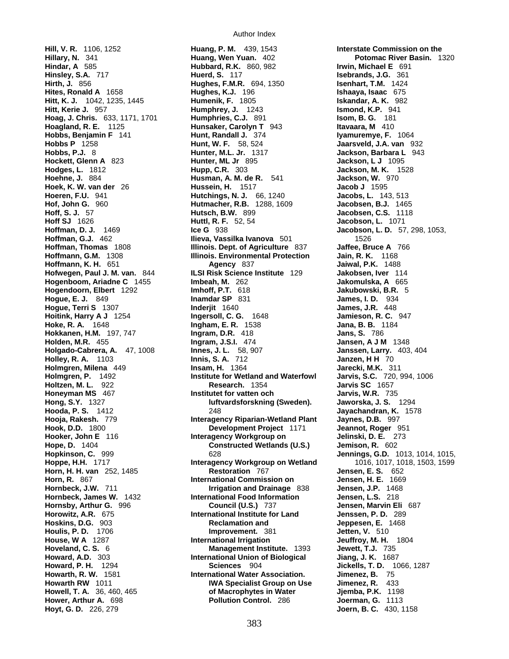**Hirth, J.** 856 **Hughes, F.M.R.** 694, 1350 **Hoag, J. Chris.** 633, 1171, 1701 **Humphries, C.J.** 891 **Hoagland, R. E.** 1125 **Humsaker, Carolyn T Howell, T. A.** 36, 460, 465 **of Macrophytes in Water Hoyt, G. D.** 226, 279 **Joern, B. C.** 430, 1158

**Hill, V. R.** 1106, 1252 **Huang, P. M.** 439, 1543 **Interstate Commission on the Hillary, N.** 341 **Huang, Wen Yuan.** 402 **Potomac River Basin.** 1320 **Hubbard, R.K.** 860, 982 **Irwin, Michael E** 691<br> **Huerd, S.** 117 **Isebrands, J.G.** 361 **Hinsley, S.A.** 717 **Huerd, S.** 117 **Isebrands, J.G.** 361 **Hites, Ronald A** 1658 **Hughes, K.J.** 196 **Ishaaya, Isaac** 675 **Hitt, K. J.** 1042, 1235, 1445 **Humenik, F.** 1805 **Iskandar, A. K.** 982 **Hitt, Kerie J.** 957 **Humphrey, J.** 1243 **Ismond, K.P.** 941 **Hunsaker, Carolyn T** 943 **Itavaara, M** 410 **Hobbs, Benjamin F** 141 **Hunt, Randall J.** 374 **Iyamuremye, F.** 1064 **Hobbs P** 1258 **Hunt, W. F.** 58, 524 **Jaarsveld, J.A. van** 932 **Hobbs, P.J.** 8 **Hunter, M.L. Jr.** 1317 **Jackson, Barbara L** 943 **Hockett, Glenn A** 823 **Hunter, ML Jr** 895 **Jackson, L J** 1095 **Hodges, L.** 1812 **Hupp, C.R.** 303 **Jackson, M. K.** 1528 **Hoehne, J.** 884 **Husman, A. M. de R.** 541 **Jackson, W.** 970 **Hoek, K. W. van der** 26 **Hussein, H.** 1517 **Jacob J** 1595 **Hoeren, F.U.** 941 **Hutchings, N. J.** 66, 1240 **Jacobs, L.** 143, 513 **Hof, John G.** 960 **Hutmacher, R.B.** 1288, 1609 **Jacobsen, B.J.** 1465 **Hoff, S. J.** 57 **Hutsch, B.W.** 899 **Jacobsen, C.S.** 1118 **Hoff SJ** 1626 **Huttl, R. F.** 52, 54 **Jacobson, L.** 1071 **Hoffman, D. J.** 1469 **Ice G** 938 **Jacobson, L. D.** 57, 298, 1053, **Hoffman, G.J.** 462 **Ilieva, Vassilka Ivanova** 501 1526 **Hoffman, Thomas** 1808 **Illinois. Dept. of Agriculture** 837 **Jaffee, Bruce A** 766 **Hoffmann, G.M.** 1308 **Illinois. Environmental Protection Hoffmann, K. H.** 651 **Agency** 837 **Jaiwal, P.K.** 1488 **Hofwegen, Paul J. M. van.** 844 **ILSI Risk Science Institute** 129 **Jakobsen, Iver** 114 **Hogenboom, Ariadne C** 1455 **Imbeah, M.** 262 **Imperiorius and Alexandrian A** 665 **Hogendoorn, Elbert** 1292 **Imhoff, P.T.** 618 **Image Alexandrian And Alexandrian A** 5 **Hogendoorn, Elbert** 1292 **Imhoff, P.T.** 618 **Jakubowski, B.R.** 5 **Hogue, E. J.** 849 **Inamdar SP** 831 **James, I. D.** 934 **Hogue, Terri S** 1307 **Inderjit** 1640 **James, J.R.** 448 **Hoitink, Harry A J** 1254 **Ingersoll, C. G.** 1648 **Jamieson, R. C.** 947 **Hoke, R. A.** 1648 **Ingham, E. R.** 1538 **Jana, B. B.** 1184 **Hokkanen, H.M.** 197, 747 **Ingram, D.R.** 418 **Jans, S.** 786 **Holden, M.R.** 455 **Ingram, J.S.I.** 474 **Jansen, A J M** 1348 **Holgado-Cabrera, A.** 47, 1008 **Innes, J. L.** 58, 907 **Janssen, Larry.** 403, 404 **Holley, R. A.** 1103 **Innis, S. A.** 712 **Janzen, H H** 70 **Holmgren, Milena** 449 **Insam, H.** 1364 **Jarecki, M.K.** 311 **Holmgren, P.** 1492 **Institute for Wetland and Waterfowl Jarvis, S.C.** 720, 994, 1006 **Holtzen, M. L.** 922 **Research.** 1354 **Jarvis SC** 1657 **Honey Institutet for vatten och Jarvis, W.R.** 735 **Hong, S.Y.** 1327 **luftvardsforskning (Sweden). Jaworska, J. S.** 1294 **Hooda, P. S.** 1412 248 **Jayachandran, K.** 1578 **Hooja, Rakesh.** 779 **Interagency Riparian-Wetland Plant Jaynes, D.B.** 997 **Hook, D.D.** 1800 **Development Project** 1171 **Jeannot, Roger** 951 **Hooker, John E** 116 **Interagency Workgroup on Jelinski, D. E.** 273 **Hope, D.** 1404 **Constructed Wetlands (U.S.) Jemison, R.** 602 **Hopkinson, C.** 999 628 **Jennings, G.D.** 1013, 1014, 1015, **Hoppe, H.H.** 1717 **Interagency Workgroup on Wetland** 1016, 1017, 1018, 1503, 1599 **Horn, H. H. van** 252, 1485 **Restoration** 767 **Jensen, E. S.** 652 **International Commission on Jensen, H. E.** 1669 **Hornbeck, J.W.** 711 **Irrigation and Drainage** 838 **Jensen, J.P.** 1468 **Hornbeck, James W.** 1432 **International Food Information Jensen, L.S.** 218 **Hornsby, Arthur G.** 996 **Council (U.S.)** 737 **Jensen, Marvin Eli** 687 **Horowitz, A.R.** 675 **International Institute for Land Jenssen, P. D.** 289 **Hoskins, D.G.** 903 **Reclamation and Jeppesen, E.** 1468 **Houlis, P. D.** 1706 **Improvement.** 381 **Jetten, V.** 510 **House, W A** 1287 **International Irrigation Members 20 Jeuffroy, M. H.** 1804 **Hoveland, C. S.** 6 **Management Institute.** 1393 **Jewett, T.J.** 735 **Howard, A.D.** 303 **International Union of Biological Jiang, J. K.** 1687 **Howard, P. H.** 1294 **Sciences** 904 **Jickells, T. D.** 1066, 1287 **International Water Association. Jimenez, B. 75 Howarth RW** 1011 **IWA Specialist Group on Use Jimenez, R.** 433<br>**Howell, T. A.** 36, 460, 465 **IFC on Accepty of Macrophytes in Water** Jiemba, P.K. 1198 **Hower, Arthur A.** 698 **Pollution Control.** 286 **Joerman, G.** 1113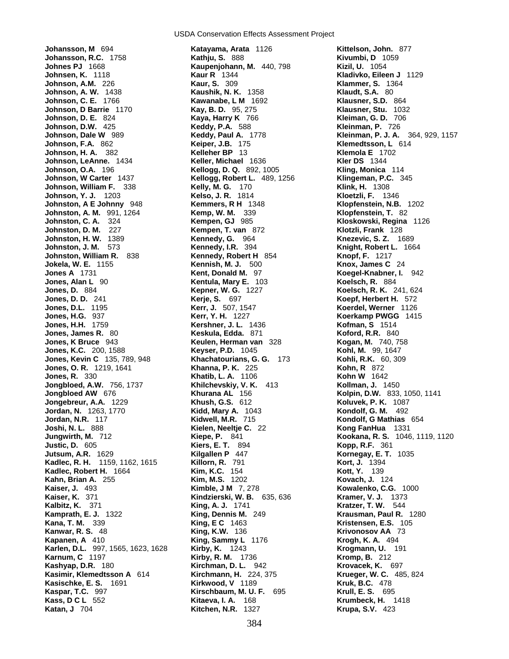**Johansson, M** 694 **Katayama, Arata** 1126 **Kittelson, John.** 877 **Johansson, R.C.** 1758 **Kathju, S.** 888 **Kivumbi, D** 1059<br> **Johnes PJ** 1668 **Kaupenjohann, M. 440, 798 <b>Kizil, U.** 1054 **Johnsen, K.** 1118 **Kaur R** 1344 **Kladivko, Eileen J** 1129 **Johnson, A.M.** 226 **Kaur, S.** 309 **Klammer, S.** 1364 **Johnson, A. W.** 1438 **Kaushik, N. K.** 1358 **Klaudt, S.A.** 80 **Johnson, C. E.** 1766 **Kawanabe, L M** 1692 **Klausner, S.D.** 864 **Johnson, D Barrie** 1170 **Kay, B. D.** 95, 275 **Johnson, D. Barrie 1170**<br> **Johnson, D. E.** 824 **Kaya, Harry K. 766 Kleiman, G. D. 706 Kleiman, G. D. 706 Johnson, D.W.** 425 **Keddy, P.A.** 588 **Kleinman, P.** 726 **Johnson, F.A.** 862 **Keiper, J.B.** 175 **Klemedtsson, L** 614 **Johnson, H. A. 382 Johnson, LeAnne.** 1434 **Keller, Michael** 1636 **Kler DS** 1344 **Johnson, O.A.** 196 **Kellogg, D. Q.** 892, 1005 **Kling, Monica** 114 **Johnson, William F.** 338 **Kelly, M. G.** 170 **Klink, H.** 1308 **Johnson, Y. J.** 1203 **Kelso, J. R.** 1814 **Kloetzli, F.** 1346 **Johnston, A E Johnny** 948 **Kemmers, R H** 1348 **Klopfenstein, N.B.** 1202 **Johnston, A. M.** 991, 1264 **Kemp, W. M.** 339 **Klopfenstein, T.** 82 **Johnston, C. A.** 324 **Kempen, GJ** 985 **Kloskowski, Regina** 1126 **Johnston, D. M.** 227 **Kempen, T. van** 872 **Klotzli, Frank** 128 **Johnston, H. W.** 1389 **Kennedy, G.** 964 **Knezevic, S. Z.** 1689 **Johnston, J. M.** 573 **Kennedy, I.R.** 394 **Knight, Robert L.** 1664 **Johnston, William R.** 838 **Kennedy, Robert H** 854 **Knopf, F.** 1217 **Jokela, W. E.** 1155 **Kennish, M. J.** 500 **Knox, James C** 24 **Jones, Alan L** 90 **Kentula, Mary E.** 103 **Jones, D.** 884 **Kepner, W. G.** 1227 **Koelsch, R. K.** 241, 624 **Jones, D. D.** 241 **Kerje, S.** 697 **Koepf, Herbert H.** 572 **Jones, D.L.** 1195 **Kerr, J.** 507, 1547 **Koerdel, Werner** 1126 **Jones, H.G.** 937 **Kerr, Y. H.** 1227 **Koerkamp PWGG** 1415 **Jones, H.H.** 1759 **Kershner, J. L.** 1436 **Kofman, S** 1514 **Jones, James R.** 80 **Keskula, Edda.** 871 **Koford, R.R.** 840 **Jones, K Bruce** 943 **Keulen, Herman van** 328 **Kogan, M.** 740, 758 **Jones, K.C.** 200, 1588 **Keyser, P.D.** 1045 **Kohl, M.** 99, 1647 **Jones, Kevin C** 135, 789, 948 **Khachatourians, G. G.** 173 **Kohli, R.K.** 60, 309 **Jones, O. R.** 1219, 1641 **Khanna, P. K.** 225 **Kohn, R** 872 **Jongbloed, A.W.** 756, 1737 **Khilchevskiy, V. K.** 413 **Kollman, J.** 1450 **Jongbloed AW** 676 **Khurana AL** 156 **Kolpin, D.W.** 833, 1050, 1141 **Jongebreur, A.A.** 1229 **Khush, G.S.** 612 **Koluvek, P. K.** 1087 **Jordan, N.** 1263, 1770 **Kidd, Mary A.** 1043 **Kondolf, G. M.** 492 **Jordan, N.R.** 117 **Kidwell, M.R.** 715 **Kondolf, G Mathias** 654 **Joshi, N. L.** 888 **Kielen, Neeltje C.** 22 **Kong FanHua** 1331 **Justic, D.** 605 **Kiers, E. T.** 894 **Kopp, R.F.** 361 **Jutsum, A.R.** 1629 **Kilgallen P** 447 **Kornegay, E. T.** 1035 **Kadlec, R. H.** 1159, 1162, 1615 **Killorn, R. 791 <b>Kort, J. 1394** Kort, J. 1394<br>**Kadlec, Robert H.** 1664 **Kim, K.C.** 154 **Kort, Y. 139 Kadlec, Robert H. 1664 Kim, K.C. 154 <b>Kadlec, Robert H. 1664 K.** *K***im, M.S. 1202 Kahn, Brian A.** 255 **Kim, M.S.** 1202 **Kovach, J.** 124 **Kovach, J.** 124 **Kaiser, J.** 493 **Kovalenko, C.G Kaiser, J.** 493 **Kimble, J M** 7, 278 **Kowalenko, C.G.** 1000 **Kalbitz, K.** 371 **King, A. J.** 1741 **Kratzer, T. W.** 544 **Kamprath, E. J.** 1322 **King, Dennis M.** 249 **Krausman, Paul R.** 1280 **Kanwar, R. S.** 48 **King, K.W.** 136 **Krivonosov AA** 73 **Karlen, D.L.** 997, 1565, 1623, 1628 **Kirby, K.** 1243 **Krogmann, U.** 191 **Kashyap, D.R.** 180 **Kirchman, D. L.** 942 **Krovacek, K.** 697 **Kasimir, Klemedtsson A** 614 **Kirchmann, H. 224**<br>**Kasischke, E. S.** 1691 **Kirkwood, V** 1189 **Kasischke, E. S.** 1691 **Kirkwood, V** 1189 **Kruk, B.C.** 478 **Kaspar, T.C.** 997 **Kirschbaum, M. U. F.** 695 **Krull, E. S.** 695 **Kass, D C L** 552 **Kitaeva, I. A.** 168 **Krumbeck, H.** 1418

USDA Conservation Effects Assessment Project

**Johnson, M. 440, 798 Kizil, U. 1054<br><b>Kaur R** 1344 **Kladivko, Eile Johnson, W Carter** 1437 **Kellogg, Robert L.** 489, 1256 **Klingeman, P.C.** 345 **Kent, Donald M. 97 Koegel-Knabner, I. 942**<br>**Kentula, Mary E. 103 Koelsch, R. 884 Jones, R.** 330 **Khatib, L. A.** 1106 **Kohn W** 1642 **Kindzierski, W. B.** 635, 636 **King, E C** 1463 **Kristensen, E.S.** 105 **King, Sammy L** 1176 **Krogh, K. A.** 494 **Kirby, R. M.** 1736 **Kromp, B.** 212 **Katan, J** 704 **Kitchen, N.R.** 1327 **Krupa, S.V.** 423

**Johnson, Dale W** 989 **Keddy, Paul A.** 1778 **Kleinman, P. J. A.** 364, 929, 1157 **Jungwirth, M.** 712 **Kiepe, P.** 841 **Kookana, R. S.** 1046, 1119, 1120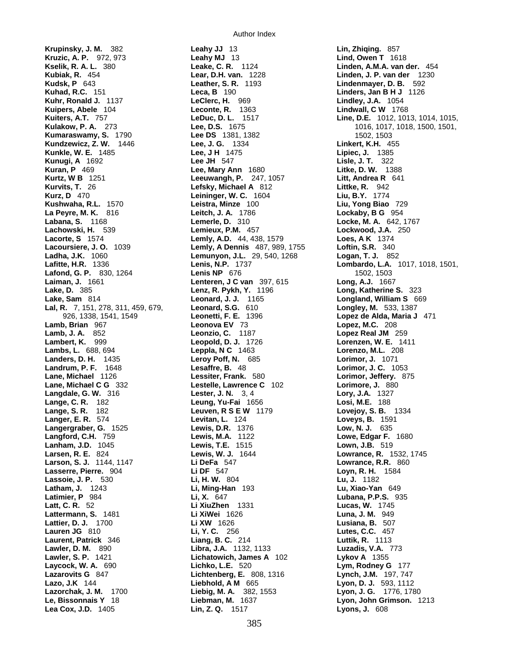**Krupinsky, J. M.** 382 **Leahy JJ** 13 **Lin, Zhiqing.** 857 **Kuipers, Abele** 104 **Leconte, R. 1363**<br>**Kuiters, A.T.** 757 **LeDuc, D. L.Kunugi, A** 1692 **Lee JH** 547<br>**Kuran, P** 469 **Lee, Mary A Kurz, D** 470 **Leininger, W. C.Lake, D.** 385 **Lenz, R. Pykh, Y.Lane, Michael C G** 332 **Lestelle, Lawrence CLanham, J.D.** 1045 **Lewis, T.E.**

Author Index

**Kruzic, A. P.** 972, 973 **Leahy MJ** 13 **Lind, Owen T** 1618 **Leake, C. R.**  1124 **Linden, A.M.A. van der.** 454 **Kubiak, R.** 454 **Lear, D.H. van.** 1228 **Linden, J. P. van der** 1230 **Kudsk, P** 643 **Leather, S. R.** 1193 **Lindenmayer, D. B.** 592 **Kuhad, R.C.** 151 **Leca, B** 190 **Linders, Jan B H J** 1126 **Kuhr, Ronald J.** 1137 **LeClerc, H.** 969 **Lindley, J.A.** 1054 **Kumaraswamy, S.** 1790 **Lee DS** 1381, 1382 1502, 1503 **Kundzewicz, Z. W.** 1446 **Lee, J. G.** 1334 **Linkert, K.H.** 455 **Kunkle, W. E.** 1485 **Lee, J H** 1475 **Lipiec, J.** 1385 **Lee, Mary Ann** 1680 **Litke, D. W.** 1388 **Kurtz, W B** 1251 **Leeuwangh, P.** 247, 1057 **Litt, Andrea R** 641 **Kurvits, T. 26 12 Little, R. 242<br>
<b>Leininger, W. C.** 1604 **Liu, B.Y.** 1774 **Kushwaha, R.L.** 1570 **Leistra, Minze** 100 **Liu, Yong Biao** 729 **La Peyre, M. K.** 816 **Leitch, J. A.** 1786 **Lockaby, B G** 954 **Labana, S.** 1168 **Lemerle, D.** 310 **Locke, M. A.** 642, 1767 **Lachowski, H.** 539 **Lemieux, P.M.** 457 **Lockwood, J.A.** 250 **Lacorte, S** 1574 **Lemly, A.D.** 44, 438, 1579 **Loes, A K** 1374 **Lacoursiere, J. O.** 1039 **Lemly, A Dennis** 487, 989, 1755 **Loftin, S.R.** 340 **Ladha, J.K.** 1060 **Lemunyon, J.L.** 29, 540, 1268 **Logan, T. J.** 852 **Lafond, G. P.** 830, 1264 **Lenis NP** 676 1502, 1503 **Lenteren, J. C. van** 397, 615 **Long, A.J.** 1667<br>**Lenz, R. Pykh, Y.** 1196 **Long, Katherine S.** 323 **Lake, Sam** 814 **Leonard, J. J.** 1165 **Longland, William S** 669 **Lal, R.** 7, 151, 278, 311, 459, 679, **Leonard, S.G.** 610 **Longley, M.** 533, 1387 926, 1338, 1541, 1549 **Leonetti, F. E.** 1396 **Lopez de Alda, Maria J** 471 **Lamb, Brian** 967 **Leonova EV** 73 **Lopez, M.C.** 208 **Lamb, J. A.** 852 **Leonzio, C.** 1187 **Lopez Real JM** 259 **Lambert, K.** 999 **Leopold, D. J.** 1726 **Lorenzen, W. E.** 1411 **Lambs, L.** 688, 694 **Leppla, N C** 1463 **Lorenzo, M.L.** 208 **Landers, D. H.** 1435 **Leroy Poff, N.** 685 **Lorimor, J.** 1071 **Landrum, P. F.** 1648 **Lesaffre, B.** 48 **Lorimor, J. C.** 1053 **Lane, Michael** 1126 **Lessiter, Frank.** 580 **Lorimor, Jeffery.** 875 **Langdale, G. W.** 316 **Lester, J. N.** 3, 4 **Lory, J.A.** 1327 **Lange, C. R.** 182 **Leung, Yu-Fai** 1656 **Losi, M.E.** 188 **Lange, S. R.** 182 **Leuven, R S E W** 1179 **Lovejoy, S. B.** 1334 **Langer, E. R.** 574 **Levitan, L.** 124 **Loveys, B.** 1591 **Langergraber, G.** 1525 **Lewis, D.R.** 1376 **Low, N. J.** 635 **Langford, C.H.** 759 **Lewis, M.A.** 1122 **Lowe, Edgar F.** 1680 **Larsen, R. E.** 824 **Lewis, W. J.** 1644 **Lowrance, R.** 1532, 1745 **Larson, S. J.** 1144, 1147 **Li DeFa** 547 **Lowrance, R.R.** 860 **Lasserre, Pierre.** 904 **Li DF** 547 **Loyn, R. H.** 1584 **Lassoie, J. P.** 530 **Li, H. W.** 804 **Lu, J.** 1182 **Latham, J.** 1243 **Li, Ming-Han** 193 **Lu, Xiao-Yan** 649 **Latimier, P** 984 **Li, X.** 647 **Lubana, P.P.S.** 935 **Latt, C. R.** 52 **Li XiuZhen** 1331 **Lucas, W.** 1745 **Lattermann, S.** 1481 **Li XiWei** 1626 **Luna, J. M.** 949 **Lattier, D. J.** 1700 **Li XW** 1626 **Lusiana, B.** 507 **Lauren JG** 810 **Li, Y. C.** 256 **Lutes, C.C.** 457 **Laurent, Patrick** 346 **Liang, B. C.** 214 **Luttik, R.** 1113 **Lawler, D. M.** 890 **Libra, J.A.** 1132, 1133 **Luzadis, V.A.** 773 **Lawler, S. P.** 1421 **Lichatowich, James A** 102 **Lykov A** 1355 **Laycock, W. A.** 690 **Lichko, L.E.** 520 **Lym, Rodney G** 177 **Lazarovits G** 847 **Lichtenberg, E.** 808, 1316 **Lynch, J.M.** 197, 747 **Liebhold, A M** 665 **Lyon, D. J.** 593, 1112 **Lazorchak, J. M.** 1700 **Liebig, M. A.** 382, 1553 **Lyon, J. G.** 1776, 1780 **Le, Bissonnais Y** 18 **Liebman, M.** 1637 **Lyon, John Grimson.** 1213 **Lea Cox, J.D.** 1405 **Lin, Z. Q.** 1517 **Lyons, J.** 608

**Kuiters, A.T.** 757 **LeDuc, D. L.** 1517 **Line, D.E.** 1012, 1013, 1014, 1015, **Kulakow, P. A.** 273 **Lee, D.S.** 1675 1016, 1017, 1018, 1500, 1501, **Lafitte, H.R.** 1336 **Lenis, N.P.** 1737 **Lombardo, L.A.** 1017, 1018, 1501,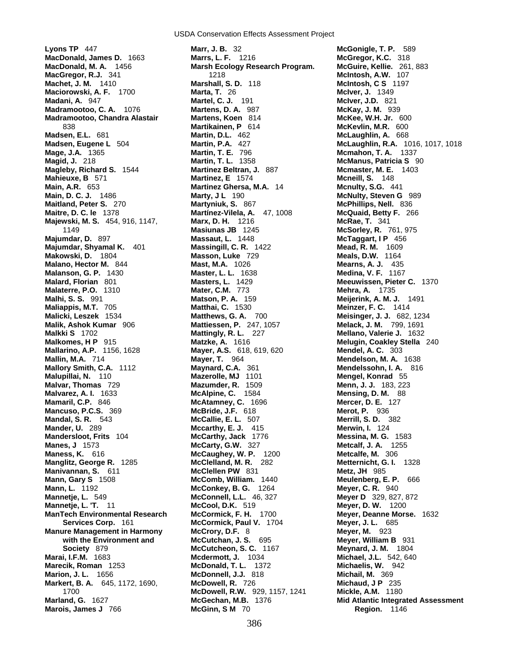USDA Conservation Effects Assessment Project

**Lyons TP** 447 **Marr, J. B.** 32 **McGonigle, T. P.** 589 **MacDonald, James D.** 1663 **Marrs, L. F.** 1216 **McGregor, K.C.** 318 **MacGregor, R.J.** 341 1218 **McIntosh, A.W.** 107 **Machet, J. M.** 1410 **Marshall, S. D.** 118 **McIntosh, C S** 1197 **Maciorowski, A. F.** 1700 **Marta, T.** 26 **Madani, A.** 947 **Martel, C. J.** 191 **McIver, J.D.** 821 **Madramootoo, C. A.** 1076 **Martens, D. A.** 987 **McKay, J. M.** 939 **Madramootoo, Chandra Alastair Martens, Koen** 814 **McKee, W.H. Jr.** 600 **Madsen, E.L.** 681 **Martin, D.L.** 462 **McLaughlin, A.** 668 **Mage, J.A.** 1365 **Martin, T. E.** 796 **Mcmahon, T. A.** 1337 **Magleby, Richard S.** 1544 **Martinez Beltran, J.** 887 **Mcmaster, M. E.** 1403 **Mahieuxe, B** 571 **Martinez, E** 1574 **Mcneill, S.** 148 **Main, A.R.** 653 **Martinez Ghersa, M.A.** 14 **Mcnulty, S.G.** 441 **Main, D. C. J.** 1486 **Marty, J L** 190 **McNulty, Steven G** 989 **Maitland, Peter S.** 270 **Martyniuk, S.** 867 **McPhillips, Nell.** 836 **Maitre, D. C. le** 1378 **Martínez-Vilela, A.** 47, 1008 **McQuaid, Betty F.** 266 **Majewski, M. S.** 454, 916, 1147, **Marx, D. H.** 1216 **McRae, T.** 341 **Majumdar, D.** 897 **Massaut, L.** 1448 **McTaggart, I P** 456 **Majumdar, Shyamal K.** 401 **Makowski, D.** 1804 **Masson, Luke** 729 **Meals, D.W.** 1164 **Malano, Hector M.** 844 **Mast, M.A.** 1026 **Mearns, A. J.** 435 **Malanson, G. P.** 1430 **Master, L. L.** 1638 **Medina, V. F.** 1167 **Malaterre, P.O.** 1310 **Mater, C.M. 773**<br>**Malhi, S. S. 991 <b>Matson, P. A.** 15 **Maliappis, M.T.** 705 **Matthai, C.** 1530 **Meinzer, F. C.** 1414 **Malicki, Leszek** 1534 **Matthews, G. A.** 700 **Meisinger, J. J.** 682, 1234 **Malik, Ashok Kumar** 906 **Mattiessen, P.** 247, 1057 **Malkki S** 1702 **Mattingly, R. L.** 227 **Mellano, Valerie J.** 1632 **Malkomes, H P** 915 **Matzke, A.** 1616 **Melugin, Coakley Stella** 240 **Mallarino, A.P.** 1156, 1628 **Mayer, A.S.** 618, 619, 620 **Mendel, A. C.** 303 **Mallin, M.A.** 714 **Mayer, T.** 964 **Mendelson, M. A.** 1638 **Mallory Smith, C.A.** 1112 **Maynard, C.A.** 361 **Mendelssohn, I. A.** 816 **Malupillai, N.** 110 **Mazerolle, MJ** 1101 **Mengel, Konrad** 55 **Malvar, Thomas** 729 **Mazumder, R.** 1509 **Menn, J. J.** 183, 223 **Malvarez, A. I.** 1633 **McAlpine, C.** 1584 **Mensing, D. M.** 88 **Mamaril, C.P.** 846 **McAtamney, C.** 1696 **Mercer, D. E.** 127 **Mancuso, P.C.S.** 369 **McBride, J.F.** 618 **Merot, P.** 936 **Mandal, S. R.** 543 **McCallie, E. L.** 507 **Merrill, S. D.** 382 **Mander, U.** 289 **Mccarthy, E. J.** 415 **Merwin, I.** 124 **Mandersloot, Frits** 104 **McCarthy, Jack** 1776 **Messina, M. G.** 1583 **Manes, J** 1573 **McCarty, G.W.** 327 **Metcalf, J. A.** 1255 **Maness, K.** 616 **McCaughey, W. P.** 1200 **Metcalfe, M.** 306 **Manglitz, George R.** 1285 **McClelland, M. R.** 282 **Metternicht, G. I.** 1328 **Manivannan, S.** 611 **McClellen PW** 831 **Metz, JH** 985 **Mann, Gary S** 1508 **McComb, William.** 1440 **Meulenberg, E. P.** 666 **Mann, L.** 1192 **McConkey, B. G.** 1264 **Meyer, C. R.** 940<br> **Mannetje, L. 549 <b>McConnell, L.L.** 46, 327 **Meyer D** 329, 827 **Mannetje, L. 'T.** 11 **McCool, D.K.** 519 **Meyer, D. W.** 1200 **ManTech Environmental Research McCormick, F. H.** 1700 **Meyer, Deanne Morse.** 1632 **Manure Management in Harmony McCrory, D.F.** 8 **Meyer, M. 923**<br>**McCutchan, J. S. 695 Meyer, William I McCutchan, J. S. 695** Meyer, William I **Marai, I.F.M.** 1683 **Mcdermott, J.** 1034 **Michael, J.L.** 542, 640 **Marecik, Roman** 1253 **McDonald, T. L.** 1372 **Marion, J. L.** 1656 **McDonnell, J.J.** 818 **Michail, M.** 369 **Markert, B. A.** 645, 1172, 1690, **McDowell, R.** 726 **Michaud, J P** 235

**Marsh Ecology Research Program.** 838 **Martikainen, P** 614 **McKevlin, M.R.** 600 1149 **Masiunas JB** 1245 **McSorley, R.** 761, 975 **Matson, P. A.** 159 **Meijerink, A. M. J.** 1491<br>**Matthai. C.** 1530 **Meinzer, F. C.** 1414 **McConnell, L.L.** 46, 327 **Meyer D** 329, 827, 872 **Services Corp.** 161 **McCormick, Paul V.** 1704 **Meyer, J. L.** 685 **with the Environment and McCutchan, J. S.** 695 **Meyer, William B** 931 **Society** 879 **McCutcheon, S. C.** 1167 **Meynard, J. M.** 1804 1700 **McDowell, R.W.** 929, 1157, 1241 **Marois, James J** 766 **McGinn, S M** 70 **Region.** 1146

**Madsen, Eugene L** 504 **Martin, P.A.** 427 **McLaughlin, R.A.** 1016, 1017, 1018 **McManus, Patricia S** 90 **Meeuwissen, Pieter C.** 1370<br>**Mehra, A.** 1735 **Marland, G.** 1627 **McGechan, M.B.** 1376 **Mid Atlantic Integrated Assessment**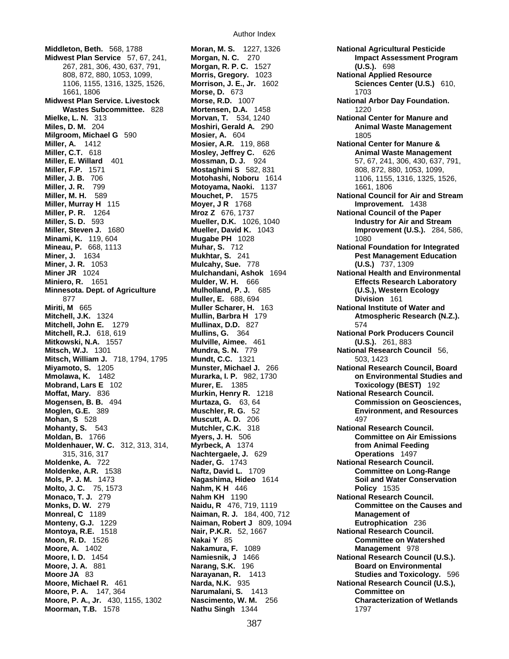**Middleton, Beth.** 568, 1788 **Moran, M. S.** 1227, 1326 **National Agricultural Pesticide Midwest Plan Service** 57, 67, 241, **Morgan, N. C.** 270 **Impact Assessment Program**  267, 281, 306, 430, 637, 791, **Morgan, R. P. C.** 1527 **(U.S.).** 698 808, 872, 880, 1053, 1099, **Morris, Gregory.** 1023 **National Applied Resource**  1661, 1806 **Morse, D.** 673 1703 **Midwest Plan Service. Livestock Morse, R.D.** 1007 **National Arbor Day Foundation. Wastes Subcommittee.** 828 **Mortensen, D.A.** 1458 1220 **Mielke, L. N.** 313 **Morvan, T.** 534, 1240 **National Center for Manure and Miles, D. M.** 204 **Moshiri, Gerald A.** 290 **Animal Waste Management Milgroom, Michael G** 590 **Mosier, A.** 604 **1805 Miller, A.** 1412 **Mosier, A.R.** 119, 868 **National Center for Manure & Miller, E. Willard** 401 **Mossman, D. J.** 924 57, 67, 241, 306, 430, 637, 791, **Miller, F.P.** 1571 **Mostaghimi S** 582, 831 808, 872, 880, 1053, 1099, 808, 872, 880, 1053, 1099, **Miller, J. B.** 706 **Motohashi, Noboru** 1614 1106, 1155, 1316, 1325, 1526, **Miller, J. R.** 799 **Motoyama, Naoki.** 1137 1661, 1806 **Miller, M. H.** 589 **Mouchet, P.** 1575 **National Council for Air and Stream Miller, Murray H** 115 **Moyer, J R** 1768 **Improvement.** 1438 **Miller, P. R.** 1264 **Mroz Z** 676, 1737 **National Council of the Paper Miller, S. D.** 593 **Mueller, D.K.** 1026, 1040 **Industry for Air and Stream Miller, Steven J.** 1680 **Mueller, David K.** 1043 **Improvement (U.S.).** 284, 586, **Minami, K.** 119, 604 **Mugabe PH** 1028 **1080**<br>**Mineau, P.** 668, 1113 **Muhar, S. 712** 1080 **Mational F Miner, J.** 1634 **Mukhtar, S.** 241 **Pest Management Education Miner, J. R.** 1053 **Mulcahy, Sue.** 778 **(U.S.)** 737, 1309 **Miniero, R.** 1651 **Mulder, W. H.** 666 **Effects Research Laboratory Minnesota. Dept. of Agriculture Mulholland, P. J.**  685 **(U.S.), Western Ecology (U.S.), Western Ecology Muller, E. 688, 694 Division** 161 **877 Muller, E.** 688, 694 **Miriti, M** 665 **Muller Scharer, H.** 163 **National Institute of Water and Mitchell, J.K.** 1324 **Mullin, Barbra H** 179 **Atmospheric Research (N.Z.). Mitchell, John E.** 1279 **Mullinax, D.D.** 827 574 **Mitchell, R.J.** 618, 619 **Mullins, G.** 364 **National Pork Producers Council Mitkowski, N.A.** 1557 **Mulville, Aimee.** 461 **(U.S.).** 261, 883 **Mitsch, W.J.** 1301 **Mundra, S. N.** 779 **National Research Council** 56, **Mitsch, William J.** 718, 1794, 1795 **Mundt, C.C.** 1321 503, 1423 **Miyamoto, S.** 1205 **Munster, Michael J.** 266 **National Research Council, Board Mmolawa, K.** 1482 **Murarka, I. P.** 982, 1730 **on Environmental Studies and Mobrand, Lars E** 102 **Murer, E.** 1385 **Toxicology (BEST)** 192 **Moffat, Mary.** 836 **Murkin, Henry R.** 1218 **National Research Council. Mogensen, B. B.** 494 **Murtaza, G.** 63, 64 **Commission on Geosciences, Moglen, G.E.** 389 **Muschler, R. G.** 52 **Environment, and Resources Mohan, S** 528 **Muscutt, A. D.** 206 497 **Mohanty, S.** 543 **Mutchler, C.K.** 318 **National Research Council. Moldan, B.** 1766 **Myers, J. H.** 506 **Committee on Air Emissions Moldenhauer, W. C.** 312, 313, 314, **Myrbeck, A** 1374 **from Animal Feeding**  315, 316, 317 **Nachtergaele, J.** 629 **Operations** 1497 **Moldenke, A.** 722 **Nader, G.** 1743 **National Research Council. Moldenke, A.R.** 1538 **Naftz, David L.** 1709 **Committee on Long-Range Mols, P. J. M.** 1473 **Nagashima, Hideo** 1614 **Soil and Water Conservation Molto, J. C.** 75, 1573 **Nahm, K H** 446 **Policy** 1535 **Monaco, T. J.** 279 **Nahm KH** 1190 **National Research Council. Monreal, C** 1189 **Naiman, R. J.** 184, 400, 712 **Management of Montoya, R.E.** 1518 **Nair, P.K.R.** 52, 1667 **National Research Council. Moon, R. D.** 1526 **Nakai Y** 85 **Committee on Watershed Moore, A.** 1402 **Nakamura, F.** 1089 **Management** 978 **Moore, I. D.** 1454 **Namiesnik, J** 1466 **National Research Council (U.S.). Moore, J. A.** 881 **Narang, S.K.** 196 **Board on Environmental Narang, S.K.** 196 **Moore JA** 83 **Narayanan, R.** 1413 **Studies and Toxicology.** 596 **Moore, Michael R.** 461 **Narda, N.K.** 935 **National Research Council (U.S.), Moore, P. A.** 147, 364 **Narumalani, S.** 1413 **Committee on Moore, P. A., Jr.** 430, 1155, 1302 **Nascimento, W. M.** 256 **Characterization of Wetlands**

**Naiman, Robert J** 809, 1094 **Eutrophication** 236 **Moorman, T.B.** 1578 **Nathu Singh** 1344 1797

1106, 1155, 1316, 1325, 1526, **Morrison, J. E., Jr.** 1602 **Sciences Center (U.S.)** 610, **Mosley, Jeffrey C.** 626 **Animal Waste Management National Foundation for Integrated Miner JR** 1024 **Mulchandani, Ashok** 1694 **National Health and Environmental Monks, D. W.** 279 **Naidu, R** 476, 719, 1119 **Committee on the Causes and**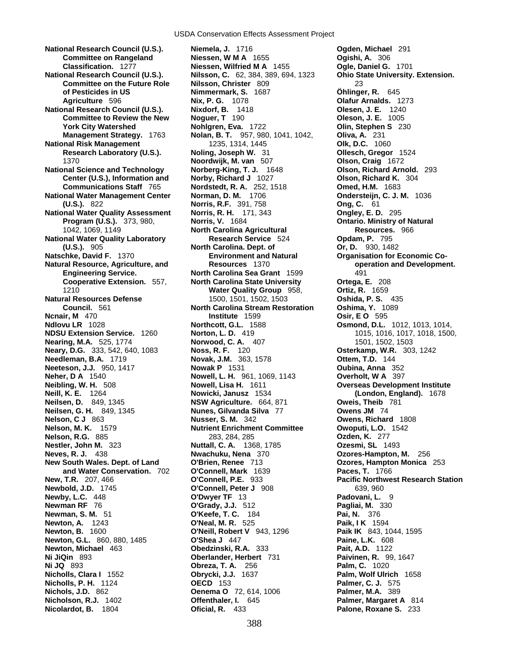USDA Conservation Effects Assessment Project

**Committee on Rangeland Niessen, W M A** 1655 **National Research Council (U.S.). Nilsson, C.** 62, 384, 389, 694, 1323 **Ohio State University. Extension. Committee on the Future Role Nilsson, Christer** 809 **National Research Council (U.S.). Nixdorf, B. 1418 Committee to Review the New Moguer, T** 190 **Committee to Review the New National Risk Management** 1235, 1314, 1445 **National Science and Technology Norberg-King, T. J.** 1648 **Olson, Richard Arnold.** 293 **National Water Management Center Norman, D. M.** 1706 **Ondersteijn, C. J. M.** 1036 **National Water Quality Assessment Norris, R. H.**  171, 343 **Ongley, E. D.** 295 **National Water Quality Laboratory Research Service** 524 **Opdam, P.** 795 **Natschke, David F. 1370 <b>Environment and Natural Companisation for Economic Co-Natural Resource, Agriculture, and Resources** 1370 **operation and Development. Natural Resources Defense** 1500, 1501, 1502, 1503 **Oshida, P. S.** 435 **Ncnair, M** 470 **Institute** 1599 **Osir, E O** 595 **Ndlovu LR** 1028 **Northcott, G.L.** 1588 **Osmond, D.L.** 1012, 1013, 1014, **NDSU Extension Service.** 1260 **Norton, L. D.** 419 1015, 1016, 1017, 1018, 1500, **Nearing, M.A.** 525, 1774 **Norwood, C. A.** 407 1501, 1502, 1503 **Neary, D.G.** 333, 542, 640, 1083 **Noss, R. F.** 120 **Osterkamp, W.R.** 303, 1242 **Needleman, B.A.** 1719 **Novak, J.M.** 363, 1578<br>**Neeteson, J.J.** 950, 1417 **Nowak P** 1531 **Neeteson, J.J.** 950, 1417 **Nowak P** 1531 **Oubina, Anna** 352 **Neibling, W. H.** 508 **Nowell, Lisa H.** 1611 **Overseas Development Institute Neill, K. E.** 1264 **Nowicki, Janusz** 1534 **(London, England).** 1678 **Neilsen, G. H.** 849, 1345 **Nunes, Gilvanda Silva** 77 **Owens JM** 74 **Nelson, C J** 863 **Nusser, S. M.** 342 **Owens, Richard** 1808 **Nelson, M. K.** 1579 **Nutrient Enrichment Committee Owoputi, L.O.** 1542 **Nelson, R.G.** 885 283, 284, 285 **Ozden, K.** 277 **Nestler, John M.** 323 **Nuttall, C. A.** 1368, 1785 **Ozesmi, SL** 1493 **Neves, R. J.** 438 **Nwachuku, Nena** 370 **Ozores-Hampton, M.** 256 **New South Wales. Dept. of Land O'Brien, Renee** 713 **Ozores, Hampton Monica** 253 **New, T.R.** 207, 466 **O'Connell, P.E.** 933 **Pacific Northwest Research Station Newbold, J.D.** 1745 **O'Connell, Peter J** 908 639, 960<br> **Newby, L.C.** 448 **O'Dwyer TF** 13 **Padovani, L.** 9 **Newby, L.C.** 448<br>**Newman RF** 76 **Newman, S. M.** 51 **O'Keefe, T. C.** 184 **Pai, N.** 376 **Newton, A.** 1243 **O'Neal, M. R.** 525 **Paik, I K** 1594 **Newton, G.L.** 860, 880, 1485 **O'Shea J** 447 **Paine, L.K.** 608 **Newton, Michael** 463 **Obedzinski, R.A.** 333 **Pait, A.D.** 1122 **Ni JiQin** 893 **Oberlander, Herbert** 731 **Paivinen, R.** 99, 1647 **Ni JQ** 893 **Obreza, T. A.** 256 **Palm, C.** 1020 **Nicholls, Clara I** 1552 **Obrycki, J.J.** 1637 **Palm, Wolf Ulrich** 1658 **Nicholls, P. H.** 1124 **OECD** 153 **Palmer, C. J.** 575 **Nichols, J.D.** 862 **Oenema O** 72, 614, 1006 **Palmer, M.A.** 389 **Nicholson, R.J.** 1402 **Offenthaler, I.** 645 **Palmer, Margaret A** 814 **Nicolardot, B.** 1804 **Oficial, R.** 433 **Palone, Roxane S.** 233

**National Research Council (U.S.). Niemela, J.** 1716 **Ogden, Michael** 291 **Classification.** 1277 **Niessen, Wilfried M A** 1455 **Ogle, Daniel G.** 1701 **of Pesticides in US Nimmermark, S.** 1687 **Öhlinger, R.** 645 **Agriculture** 596 **Nix, P. G.** 1078 **Olafur Arnalds.** 1273 **York City Watershed Nohlgren, Eva.** 1722 **Olin, Stephen S** 230 **Management Strategy.** 1763 **Nolan, B. T.** 957, 980, 1041, 1042, **Oliva, A.** 231 **Research Laboratory (U.S.). Noling, Joseph W.** 31 **Ollesch, Gregor** 1524 1370 **Noordwijk, M. van** 507 **Olson, Craig** 1672 **Center (U.S.), Information and Norby, Richard J** 1027 **Olson, Richard K.** 304 **Communications Staff** 765 **Nordstedt, R. A.** 252, 1518 **Omed, H.M.** 1683 **(U.S.).** 822 **Norris, R.F.** 391, 758 **Ong, C.** 61 **Program (U.S.).** 373, 980, **Norris, V.** 1684 **Ontario. Ministry of Natural**  1042, 1069, 1149 **North Carolina Agricultural Resources.** 966 **(U.S.).** 905 **North Carolina. Dept. of Or, D.** 930, 1482 **Engineering Service. North Carolina Sea Grant** 1599 491 **Cooperative Extension.** 557, **North Carolina State University Ortega, E.** 208 1210 **Water Quality Group** 958, **Ortiz, R.** 1659 **Council.** 561 **North Carolina Stream Restoration Oshima, Y.** 1089 **Nowell, L. H.** 961, 1069, 1143 **Overholt, W A** 397 **NSW Agriculture.** 664, 871 **Oweis, Theib** 781 **Nunes, Gilvanda Silva** 77 **Owens JM** 74 **and Water Conservation.** 702 **O'Connell, Mark** 1639 **Paces, T.** 1766 **Newman RF** 76 **O'Grady, J.J.** 512 **Pagliai, M.** 330 **Newton, B.** 1600 **O'Neill, Robert V** 943, 1296 **Paik IK** 843, 1044, 1595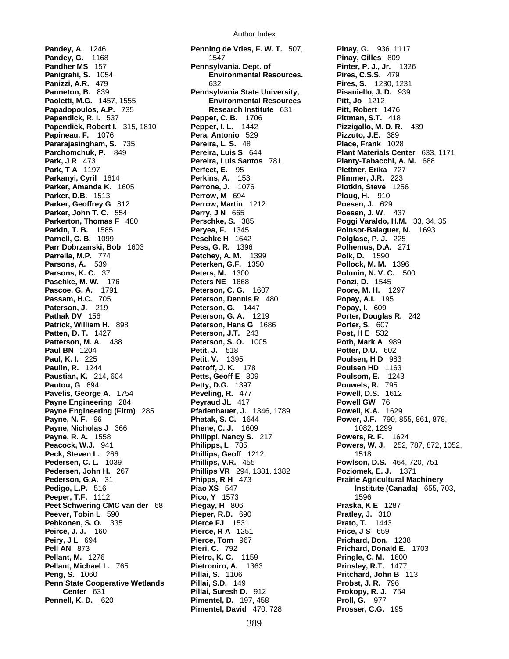**Pandey, A.** 1246 **Penning de Vries, F. W. T.** 507, **Pinay, G.** 936, 1117 **Pandey, G.** 1168 **Pandey, G. 1168 Pinay, Gilles** 809 **Pandher MS** 157 **Pennsylvania. Dept. of Pinter, P. J., Jr.** 1326<br> **Paniarahi. S.** 1054 **Paniarahi. Pres. Pires, C.S.S.** 479 **Panigrahi, S.** 1054 **Environmental Resources. Panizzi, A.R.** 479 632 **Pires, S.** 1230, 1231 **Panneton, B.** 839 **Pennsylvania State University, Pisaniello, J. D.** 939 **Paoletti, M.G.** 1457, 1555 **Environmental Resources Pitt, Jo** 1212 **Papadopoulos, A.P.** 735 **Research Institute** 631 **Pitt, Robert** 1476 **Papendick, R. I.** 537 **Pepper, C. B.** 1706 **Papendick, Robert I.** 315, 1810 **Pepper, I. L.** 1442 **Pizzigallo, M. D. R.** 439 **Papineau, F.** 1076 **Pera, Antonio** 529 **Pizzuto, J.E.** 389 **Pararajasingham, S. 735 Pereira, L. S. 48<br><b>Parchomchuk, P. 849 Pereira, Luis S** 644 **Parchomchuk, P.** 849 **Pereira, Luis S** 644 **Plant Materials Center** 633, 1171 **Park, J R** 473 **Pereira, Luis Santos** 781 **Planty-Tabacchi, A. M.** 688 **Park, T A** 1197 **Perfect, E.** 95 **Plettner, Erika** 727 **Parkanyi, Cyril** 1614 **Perkins, A.** 153 **Plimmer, J.R.** 223 **Parker, Amanda K.** 1605 **Perrone, J.** 1076 **Plotkin, Steve** 1256 **Parker, D.B.** 1513 **Perrow, M** 694 **Ploug, H.** 910 **Parker, Geoffrey G** 812 **Perrow, Martin** 1212 **Poesen, J.** 629 **Parker, John T. C.** 554 **Perry, J N** 665 **Poesen, J. W.** 437 **Parkerton, Thomas F** 480 **Perschke, S.** 385 **Poggi Varaldo, H.M.** 33, 34, 35 **Parkin, T. B.** 1585 **Peryea, F.** 1345 **Poinsot-Balaguer, N.** 1693 **Parnell, C. B.** 1099 **Peschke H** 1642 **Polglase, P. J.** 225 **Parr Dobrzanski, Bob** 1603 **Pess, G. R.** 1396 **Polhemus, D.A.** 271 **Parrella, M.P. 774 <b>Petchey, A. M.** 1399 **Parsons, A.** 539 **Peterken, G.F.** 1350 **Pollock, M. M.** 1396 **Paschke, M. W.** 176 **Peters NE** 1668 **Pascoe, G. A.** 1791 **Peterson, C. G.** 1607 **Poore, M. H.** 1297 **Passam, H.C.** 705 **Peterson, Dennis R** 480 **Popay, A.I.** 195 **Paterson, J.** 219 **Peterson, G.** 1447 **Pathak DV** 156 **Peterson, G. A.** 1219 **Porter, Douglas R.** 242 **Patrick, William H.** 898 **Peterson, Hans G** 1686 **Porter, S.** 607 **Patten, D. T.** 1427 **Peterson, J.T.** 243 **Post, H E** 532 **Patterson, M. A.** 438 **Peterson, S. O.** 1005 **Poth, Mark A** 989 **Paul BN** 1204 **Petit, J.** 518 **Potter, D.U.** 602 **Paul, K. I.** 225 **Petit, V.** 1395 **Poulsen, H D** 983 **Paulin, R.** 1244 **Petroff, J. K.** 178 **Poulsen HD** 1163 **Paustian, K.** 214, 604 **Petts, Geoff E** 809 **Poulsom, E.** 1243 **Pautou, G** 694 **Petty, D.G.** 1397 **Pouwels, R.** 795 **Pavelis, George A.** 1754 **Peveling, R.** 477 **Powell, D.S.** 1612 **Payne Engineering** 284 **Peyraud JL** 417 **Powell GW** 76 **Payne Engineering (Firm)** 285 **Pfadenhauer, J.** 1346, 1789 **Payne Engineering (Firm)** 285 **Pfadenhauer, J.** 1346, 1789 **Powell, K.A.** 1629<br>**Payne, N. F.** 96 **Power, J.F.** 790, 855, 861, 878, **Payne, Nicholas J** 366 **Phene, C. J.** 1609 **1082, 1299 Payne, R. A.** 1558 **Philippi, Nancy S.** 217 **Powers, R. F.** 1624 **Peck, Steven L. 266 28. Phillips, Geoff** 1212 2006 1518 **Pedersen, C. L.** 1039 **Phillips, V.R.** 455 **Powlson, D.S.** 464, 720, 751 **Pedersen, John H.** 267 **Phillips VR** 294, 1381, 1382 **Poziomek, E. J.** 1371 **Pederson, G.A.** 31 **Phipps, R H** 473 **Prairie Agricultural Machinery Peeper, T.F.** 1112 **Pico, Y** 1573 1596 **Peet Schwering CMC van der** 68 **Piegay, H** 806 **Praska, K E** 1287 **Peever, Tobin L** 590 **Pieper, R.D.** 690 **Pratley, J.** 310 **Pehkonen, S. O.** 335 **Pierce FJ** 1531 **Prato, T.** 1443 **Peirce, J. J.** 160 **Pierce, R A** 1251 **Price, J. S.** 659 **Peiry, J L** 694 **Pierce, Tom** 967 **Prichard, Don.** 1238 **Pell AN** 873 **Pieri, C.** 792 **Prichard, Donald E.** 1703 **Pellant, M.** 1276 **Pietro, K. C.** 1159 **Pringle, C. M.** 1600 **Pellant, Michael L. 765 <b>Pietroniro, A.** 1363 **Peng, S.** 1060 **Pillai, S.** 1106 **Pritchard, John B** 113 **Penn State Cooperative Wetlands Pillai, S.D.** 149 **Probst, J. R.** 796 **Pennell, K. D.** 620 **Pimentel, D.** 197, 458 **Proll, G.** 977

**Peters, M. 1300 Polunin, N. V. C.** 500<br>**Peters NE** 1668 **Ponzi, D.** 1545 **Center** 631 **Pillai, Suresh D.** 912 **Prokopy, R. J.** 754 **Pimentel, David** 470, 728 **Prosser, C.G.** 195

**Peacock, W.J.** 941 **Philipps, L** 785 **Powers, W. J.** 252, 787, 872, 1052, **Piao XS** 547 **Institute (Canada)** 655, 703, **Pico, Y** 1573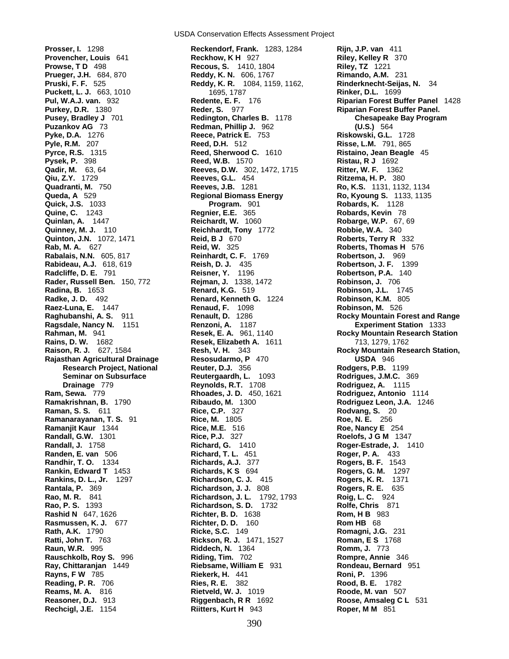**Prosser, I.** 1298 **Reckendorf, Frank.** 1283, 1284 **Rijn, J.P. van** 411 **Provencher, Louis** 641 **Reckhow, K H** 927<br>**Prowse, T D** 498 **Recous, S.** 1410, **Rabideau, A.J.** 618, 619 **Reish, D. J.** 435<br>**Radcliffe, D. E.** 791 **Reisner, Y.** 1196 **Rader, Russell Ben.** 150, 772 **Rejman, J.** 1338, 1472 **Rankin, Edward T** 1453 **Richards, K S** 694 **Rao, P. S.** 1393 **Richardson, S. D.** 1732 **Reams, M. A.** 816 **Rietveld, W. J.** 1019 **Rechcigl, J.E.** 1154 **Riitters, Kurt H** 943 **Roper, M M** 851

**Prowse, T D** 498 **Recous, S.** 1410, 1804 **Riley, TZ** 1221 **Reddy, K. N.** 606, 1767 **Rimando, A.M.** 231 **Pruski, F. F.** 525 **Reddy, K. R.** 1084, 1159, 1162, **Rinderknecht-Seijas, N.** 34 **Puckett, L. J.** 663, 1010 1695, 1787 **Rinker, D.L.** 1699 **Purkey, D.R.** 1380 **Reder, S.** 977 **Riparian Forest Buffer Panel. Pusey, Bradley J** 701 **Redington, Charles B.** 1178 **Chesapeake Bay Program Puzankov AG** 73 **Redman, Phillip J.** 962 **(U.S.)** 564 **Pyke, D.A.** 1276 **Reece, Patrick E.** 753 **Riskowski, G.L.** 1728 **Pyle, R.M.** 207 **Reed, D.H.** 512 **Risse, L.M.** 791, 865 **Reed, Sherwood C.** 1610 **Ristaino, Jean Beagle** 45 **Pysek, P.** 398 **Reed, W.B.** 1570 **Ristau, R J** 1692 **Qadir, M.** 63, 64 **Reeves, D.W.** 302, 1472, 1715 **Ritter, W. F.** 1362 **Qiu, Z.Y.** 1729 **Reeves, G.L.** 454 **Ritzema, H. P.** 380 **Quadranti, M.** 750 **Reeves, J.B.** 1281 **Ro, K.S.** 1131, 1132, 1134 **Queda, A** 529 **Regional Biomass Energy** Ro, Kyoung S. 1133, 1135 **Quick, J.S.** 1033 **Program.** 901 **Robards, K.** 1128 **Quine, C.** 1243 **Regnier, E.E.** 365 **Robards, Kevin** 78 **Quinlan, A.** 1447 **Reichardt, W.** 1060 **Robarge, W.P.** 67, 69 **Quinney, M. J.** 110 **Reichhardt, Tony** 1772 **Robbie, W.A.** 340 **Quinton, J.N.** 1072, 1471 **Reid, B J** 670 **Roberts, Terry R** 332 **Rab, M. A.** 627 **Reid, W.** 325 **Roberts, Thomas H** 576 **Rabalais, N.N.** 605, 817 **Reinhardt, C. F.** 1769 **Robertson, J.** 969 **Radcliffe, D. E.** 791 **Reisner, Y.** 1196 **Robertson, P.A.** 140 **Radina, B.** 1653 **Renard, K.G.** 519 **Robinson, J.L.** 1745 **Renard, Kenneth G. 1224 Renaud, F. 1098 Raez-Luna, E.** 1447 **Renaud, F.** 1098 **Robinson, M.** 526 **Ragsdale, Nancy N.** 1151 **Renzoni, A.** 1187 **Experiment Station** 1333 **Rains, D. W.** 1682 **Resek, Elizabeth A.** 1611 713, 1279, 1762 **Rajasthan Agricultural Drainage Resosudarmo, P** 470 **USDA** 946 **Research Project, National Reuter, D.J.** 356 **Rodgers, P.B.** 1199 **Seminar on Subsurface Reutergaardh, L.** 1093 **Rodrigues, J.M.C.** 369 **Drainage** 779 **Reynolds, R.T.** 1708 **Rodriguez, A.** 1115 **Ram, Sewa.** 779 **Rhoades, J. D.** 450, 1621 **Rodriguez, Antonio** 1114 **Ramakrishnan, B.** 1790 **Ribaudo, M.** 1300 **Rodriguez Leon, J.A.** 1246 **Raman, S. S.** 611 **Rice, C.P.** 327 **Rodvang, S.** 20 **Ramanarayanan, T. S.** 91 **Rice, M.** 1805 **Roe, N. E.** 256 **Ramanjit Kaur** 1344 **Rice, M.E.** 516 **Roe, Nancy E** 254 **Randall, G.W.** 1301 **Rice, P.J.** 327 **Roelofs, J G M** 1347 **Randall, J.** 1758 **Richard, G.** 1410 **Roger-Estrade, J.** 1410 **Randen, E. van** 506 **Richard, T. L.** 451 **Roger, P. A.** 433 **Randhir, T. O.** 1334 **Richards, A.J.** 377 **Rogers, B. F.** 1543 **Rankins, D. L., Jr.** 1297 **Richardson, C. J.** 415 **Rogers, K. R.** 1371 **Rantala, P.** 369 **Richardson, J. J.** 808 **Rogers, R. E.** 635 **Rao, M. R.** 841 **Richardson, J. L.** 1792, 1793 **Roig, L. C.** 924 **Rashid N** 647, 1626 **Richter, B. D.** 1638 **Rom, H B** 983 **Rasmussen, K. J.** 677 **Richter, D. D.** 160 **Rom HB** 68 **Rath, A.K.** 1790 **Ricke, S.C.** 149 **Romagni, J.G.** 231 **Ratti, John T.** 763 **Rickson, R. J.** 1471, 1527 **Roman, E S** 1768 **Raun, W.R.** 995 **Riddech, N.** 1364 **Romm, J.** 773 **Rauschkolb, Roy S.** 996 **Riding, Tim.** 702 **Rompre, Annie** 346 **Ray, Chittaranjan** 1449 **Riebsame, William E** 931 **Rondeau, Bernard** 951 **Rayns, F W** 785 **Riekerk, H.** 441 **Roni, P.** 1396 **Reading, P. R.** 706 **Ries, R. E.** 382 **Rood, B. E.** 1782 **Reasoner, D.J.** 913 **Riggenbach, R R** 1692 **Roose, Amsaleg C L** 531

**Pul, W.A.J. van.** 932 **Redente, E. F.** 176 **Riparian Forest Buffer Panel** 1428 **Renault, D.** 1286 **Rocky Mountain Forest and Range <b>Renzoni, A.** 1187 **Rocky Mountain Forest and Range <b>Renzoni**, A. 1877 **Rocky Mountain Research Station**<br>**Resek, E. A.** 961, 1140 **Rocky Mountain Research Station Rahman, M.** 941 **Resek, E. A.** 961, 1140 **Rocky Mountain Research Station Resh, V. H. 343 <b>Rocky Mountain Research Station, Resh, V. H. Rocky Mountain Research Station,**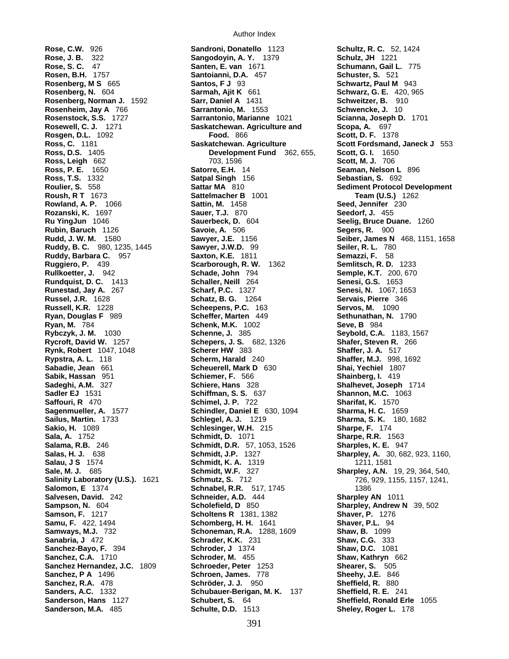**Rose, J. B.** 322 **Sangodoyin, A. Y.** 1379<br> **Rose, S. C. 47 Santen, E. van** 1671<br> **Rosen, B.H.** 1757 **Santoianni, D.A.** 457 **Rosenberg, Norman J. 1592 Rosgen, D.L.** 1092 **Food.** 866 **Ross, Leigh** 662 703, 1596 **Ruddy, Barbara C.** 957 **Saxton, K.E.** 1811<br>**Ruggiero, P.** 439 **Scarborough, R. W Rundquist, D. C.** 1413 **Schaller, Neill** 264 **Sagenmueller, A.** 1577 **Schindler, Daniel E** 630, 1094 **Samu, F.** 422, 1494 **Schomberg, H. H.** 1641<br>**Samways, M.J.** 732 **Schoneman, R.A.** 1288, **Sanabria, J** 472 **Schrader, K.K.** 231 **Sanchez-Bayo, F.** 394 **Schroder, J** 1374 **Sanchez, P A** 1496 **Schroen, James.** 778

**Rose, C.W.** 926 **Sandroni, Donatello** 1123 **Schultz, R. C.** 52, 1424 **Santoianni, D.A.** 457 **Schuster, S.** 521 **Rosenberg, M S** 665 **Santos, F J** 93 **Schwartz, Paul M** 943 **Rosenberg, N.** 604 **Sarmah, Ajit K** 661 **Schwarz, G. E.** 420, 965 **Rosenberg, Norman J.** 1592 **Sarr, Daniel A** 1431 **Schweitzer, B.** 910 **Rosenheim, Jay A** 766 **Sarrantonio, M.** 1553 **Schwencke, J.** 10<br>**Rosenstock, S.S.** 1727 **Sarrantonio, Marianne** 1021 **Scianna, Joseph D**. **Rosenstock, S.S.** 1727 **Sarrantonio, Marianne** 1021 **Scianna, Joseph D.** 1701 **Rosewell, C. J.** 1271 **Saskatchewan. Agriculture and Scopa, A.** 697<br>**Rosgen, D.L.** 1092 **Food.** 866 **Food.** 866 **Scott, D. F.** 1378 **Ross, C.** 1181 **Saskatchewan. Agriculture Scott Fordsmand, Janeck J** 553 **Ross, D.S.** 1405 **Development Fund** 362, 655, **Scott, G. I.** 1650 **Ross, P. E.** 1650 **Satorre, E.H.** 14 **Seaman, Nelson L** 896 **Ross, T.S.** 1332 **Satpal Singh** 156 **Sebastian, S.** 692 **Roulier, S.** 558 **Sattar MA** 810 **Sediment Protocol Development Roush, R T** 1673 **Sattelmacher B** 1001 **Team (U.S.)** 1262 **Rowland, A. P.** 1066 **Sattin, M.** 1458 **Seed, Jennifer** 230 **Rozanski, K.** 1697 **Sauer, T.J.** 870 **Seedorf, J.** 455 **Ru YingJun** 1046 **Sauerbeck, D.** 604 **Seelig, Bruce Duane.** 1260 **Rubin, Baruch** 1126 **Savoie, A.** 506 **Segers, R.** 900 **Rudd, J. W. M.** 1580 **Sawyer, J.E.** 1156 **Seiber, James N** 468, 1151, 1658 **Ruddy, B. C.** 980, 1235, 1445 **Sawyer, J.W.D.** 99 **Seiler, R. L.** 780 **Ruggiero, P.** 439 **Scarborough, R. W.** 1362 **Semlitsch, R. D.** 1233 **Rullkoetter, J.** 942 **Schade, John 794 <b>Semple, K.T.** 200, 670 **Rundquist, D. C.** 1413 **Senaller, Neill** 264 **Senesi, G.S.** 1653 **Runestad, Jay A.** 267 **Scharf, P.C.** 1327 **Senesi, N.** 1067, 1653 **Russel, J.R.** 1628 **Schatz, B. G.** 1264 **Servais, Pierre** 346 **Russell, K.R.** 1228 **Scheepens, P.C.** 163 **Servos, M.** 1090 **Ryan, Douglas F** 989 **Scheffer, Marten** 449 **Sethunathan, N.** 1790 **Ryan, M.** 784 **Schenk, M.K.** 1002 **Seve, B** 984 **Rybczyk, J. M.** 1030 **Schenne, J.** 385 **Seybold, C.A.** 1183, 1567 **Rycroft, David W.** 1257 **Schepers, J. S.** 682, 1326 **Shafer, Steven R.** 266 **Rynk, Robert** 1047, 1048 **Scherer HW** 383 **Shaffer, J. A.** 517 **Rypstra, A. L.** 118 **Scherm, Harald** 240 **Shaffer, M.J.** 998, 1692 **Scheuerell, Mark D** 630 **Sabik, Hassan** 951 **Schiemer, F.** 566 **Shainberg, I.** 419 **Sadeghi, A.M.** 327 **Schiere, Hans** 328 **Shalhevet, Joseph** 1714 **Sadler EJ** 1531 **Schiffman, S. S.** 637 **Shannon, M.C.** 1063 **Saffouri, R** 470 **Schimel, J. P.** 722 **Sharifat, K.** 1570 **Sailus, Martin.** 1733 **Schlegel, A. J.** 1219 **Sharma, S. K.** 180, 1682 **Sakio, H.** 1089 **Schlesinger, W.H.** 215 **Sharpe, F.** 174 **Sala, A.** 1752 **Schmidt, D.** 1071 **Sharpe, R.R.** 1563 **Salama, R.B.** 246 **Schmidt, D.R.** 57, 1053, 1526 **Sharples, K. E.** 947 **Salas, H. J.** 638 **Schmidt, J.P.** 1327 **Sharpley, A.** 30, 682, 923, 1160, **Salau, J S** 1574 **Schmidt, K. A.** 1319 **1211, 1581 Sale, M. J.** 685 **Schmidt, W.F.** 327 **Sharpley, A.N.** 19, 29, 364, 540, **Salinity Laboratory (U.S.).** 1621 **Schmutz, S.** 712 726, 929, 1155, 1157, 1241, **Salomon, E** 1374 **Schnabel, R.R. 517, 1745** 1386 **Salvesen, David.** 242 **Schneider, A.D.** 444 **Sharpley AN** 1011 **Sampson, N.** 604 **Scholefield, D** 850 **Sharpley, Andrew N** 39, 502 **Samson, F.** 1217 **Scholtens R** 1381, 1382 **Shaver, P.** 1276 **Schoneman, R.A.** 1288, 1609 **Shaw, B.** 1099<br> **Schrader, K.K.** 231 **Shaw, C.G.** 333<br> **Schroder, J** 1374 **Shaw, D.C.** 1081 **Sanchez, C.A.** 1710 **Schroder, M.** 455 **Shaw, Kathryn** 662 **Sanchez Hernandez, J.C.** 1809 **Schroeder, Peter** 1253 **Shearer, S.** 505 **Sanchez, R.A.** 478 **Schröder, J. J.** 950 **Sheffield, R.** 880 **Schubauer-Berigan, M. K.** 137 **Sheffield, R. E.** 241 **Sanderson, Hans** 1127 **Schubert, S.** 64 **Sheffield, Ronald Erle** 1055 **Sanderson, M.A.** 485 **Schulte, D.D.** 1513 **Sheley, Roger L.** 178

**Schumann, Gail L. 775**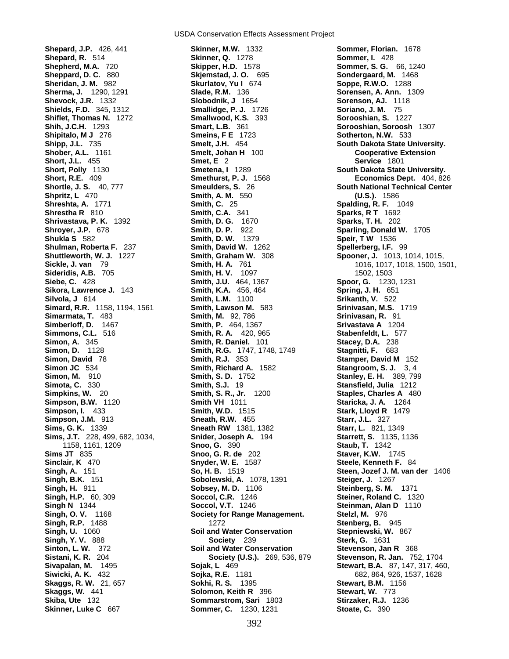**Shepard, J.P.** 426, 441 **Skinner, M.W.** 1332 **Sommer, Florian.** 1678 **Shields, F.D.** 345, 1312 **Smallidge, P. J.** 1726 **Shiflet, Thomas N.** 1272 **Smallwood, K.S.** 393 **Sikora, Lawrence J.** 143 **Smith, K.A.** 456, 464 **Simon, D.** 1128 **Smith, R.G.** 1747, 1748, 1749<br>**Simon, David** 78 **Smith, R.J.** 353 **Skinner, Luke C** 667 **Sommer, C.** 1230, 1231 **Stoate, C.** 390

USDA Conservation Effects Assessment Project

**Shepard, R.** 514 **Skinner, Q.** 1278 **Sommer, I.** 428<br> **Shepherd, M.A.** 720 **Skipper, H.D.** 1578 **Sommer, S. G. Sheppard, D. C.** 880 **Skjemstad, J. O.** 695 **Sondergaard, M.** 1468 **Sheridan, J. M.** 982 **Skurlatov, Yu I** 674 **Soppe, R.W.O.** 1288 **Sherma, J.** 1290, 1291 **Slade, R.M.** 136 **Sorensen, A. Ann.** 1309 **Shevock, J.R.** 1332 **Slobodnik, J** 1654 **Sorenson, AJ.** 1118<br> **Shields, F.D.** 345, 1312 **Smallidge, P. J.** 1726 **Soriano, J. M.** 75<br> **Shiflet, Thomas N.** 1272 **Smallwood, K.S.** 393 **Sorooshian, S.** 1227 **Shih, J.C.H.** 1293 **Smart, L.B.** 361 **Sorooshian, Soroosh** 1307 **Shipitalo, M J** 276 **Smeins, F E** 1723 **Sotherton, N.W.** 533 **Shipp, J.L.** 735 **Smelt, J.H.** 454 **South Dakota State University. Smelt, Johan H** 100 **Cooperative Extension Short, J.L.** 455 **Smet, E** 2 **Service** 1801 **Short, Polly** 1130 **Smetena, I** 1289 **South Dakota State University. Shpritz, L** 470 **Smith, A. M.** 550 **(U.S.).** 1586 **Shreshta, A.** 1771 **Smith, C.** 25 **Spalding, R. F.** 1049 **Shrestha R** 810 **Smith, C.A.** 341 **Sparks, R T** 1692 **Shrivastava, P. K.** 1392 **Smith, D. G.** 1670 **Sparks, T. H.** 202 **Shroyer, J.P.** 678 **Smith, D. P.** 922 **Sparling, Donald W.** 1705 **Smith, D. W.** 1379 **Speir, T W** 1536 **Shulman, Roberta F.** 237 **Smith, David W.** 1262 **Spellerberg, I.F.** 99 **Shuttleworth, W. J.** 1227 **Smith, Graham W.** 308 **Spooner, J.** 1013, 1014, 1015, **Sideridis, A.B.** 705 **Smith, H. V.** 1097 1502, 1503 **Siebe, C.** 428 **Smith, J.U.** 464, 1367 **Spoor, G.** 1230, 1231 **Silvola, J** 614 **Smith, L.M.** 1100 **Srikanth, V.** 522 **Simard, R.R.** 1158, 1194, 1561 **Smith, Lawson M.** 583 **Srinivasan, M.S.** 1719 **Simarmata, T.** 483 **Smith, M.** 92, 786 **Srinivasan, R.** 91 **Simberloff, D.** 1467 **Smith, P.** 464, 1367 **Srivastava A** 1204 **Simmons, C.L.** 516 **Smith, R. A.** 420, 965 **Stabenfeldt, L.** 577 **Simon, A.** 345 **Smith, R. Daniel.** 101 **Stacey, D.A.** 238 **Simon, David** 78 **Smith, R.J.** 353 **Stamper, David M** 152 **Simon JC** 534 **Smith, Richard A.** 1582 **Stangroom, S. J.** 3, 4 **Simota, C.** 330 **Smith, S.J.** 19 **Stansfield, Julia** 1212 **Simpkins, W.** 20 **Smith, S. R., Jr.** 1200 **Staples, Charles A** 480 **Simpson, B.W.** 1120 **Smith VH** 1011 **Staricka, J. A.** 1264 **Simpson, I.** 433 **Smith, W.D.** 1515 **Stark, Lloyd R** 1479 **Simpson, J.M.** 913 **Sneath, R.W.** 455 **Starr, J.L.** 327 **Sims, G. K.** 1339 **Sneath RW** 1381, 1382 **Starr, L.** 821, 1349 **Sims, J.T.** 228, 499, 682, 1034, **Snider, Joseph A.** 194 **Starrett, S.** 1135, 1136 1158, 1161, 1209 **Snoo, G.** 390 **Staub, T.** 1342 **Sims JT** 835 **Snoo, G. R. de** 202 **Staver, K.W.** 1745 **Sinclair, K** 470 **Snyder, W. E.** 1587 **Steele, Kenneth F.** 84 **Singh, B.K.** 151 **Sobolewski, A.** 1078, 1391 **Steiger, J.** 1267 **Singh, H. 911 <b>Sobsey, M. D. 1106 Steinberg, S. M. 1371**<br> **Singh, H.P.** 60, 309 **Soccol, C.R. 1246 Steiner, Roland C. 132 Singh, H.P.** 60, 309 **Soccol, C.R.** 1246 **Steiner, Roland C.** 1320 **Soccol, V.T.** 1246 **Steinman, Alan D** 1110 **Singh, O. V.** 1168 **Society for Range Management. Stelzl, M.** 976 **Singh, R.P.** 1488 1272 **Stenberg, B.** 945 **Soil and Water Conservation Stepniewski, W. 867 Singh, Y. V.** 888 **Society** 239 **Sterk, G.** 1631 **Sinton, L. W.** 372 **Soil and Water Conservation Stevenson, Jan R** 368 **Sistani, K. R.** 204 **Society (U.S.).** 269, 536, 879 **Stevenson, R. Jan.** 752, 1704 **Siwicki, A. K.** 432 **Sojka, R.E.** 1181 682, 864, 926, 1537, 1628 **Skaggs, R. W.** 21, 657 **Sokhi, R. S.** 1395 **Stewart, B.M.** 1156 **Skaggs, W.** 441 **Solomon, Keith R** 396 **Stewart, W.** 773 **Skiba, Ute** 132 **Sommarstrom, Sari** 1803 **Stirzaker, R.J.** 1236

**Sommer, S. G. 66, 1240 Short, R.E.** 409 **Smethurst, P. J.** 1568 **Economics Dept.** 404, 826 **Smeulders, S. 26 <b>South National Technical Center South National Technical Center Smith, H. A.** 761 **Smith, H. A.** 761 **Smith, H. V. 1097** 1018, 1017, 1018, 1500, 1501, **Smith, H. V.** 1097 **Stanley, E. H. 389, 799 Singh, A.** 151 **So, H. B.** 1519 **Steen, Jozef J. M. van der** 1406 **Sivapalan, M.** 1495 **Sojak, L** 469 **Stewart, B.A.** 87, 147, 317, 460,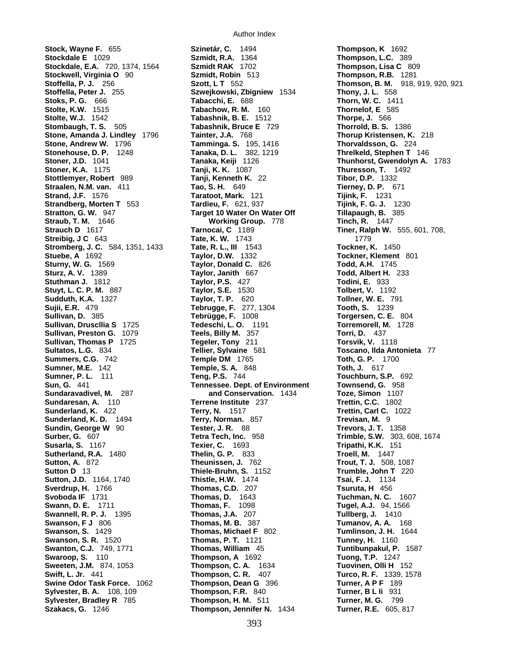**Stoffella, Peter J. 255 Szwejkowski, Zbigniew 1534 Stuthman J.** 1812 **Taylor, P.S.** 427 **Sumner, M.E.** 142 **Temple, S. A.** 848 **Sutton, J.D.** 1164, 1740

**Stock, Wayne F.** 655 **Szinetár, C.** 1494 **Thompson, K** 1692 **Stockdale E** 1029 **Szmidt, R.A.** 1364 **Thompson, L.C.** 389 **Stockdale, E.A.** 720, 1374, 1564 **Szmidt RAK** 1702 **Thompson, Lisa C** 809 **Stockwell, Virginia O** 90 **Szmidt, Robin** 513 **Thompson, R.B.** 1281 **Stoks, P. G.** 666 **Tabacchi, E. 688 Thorn, W. C. 1411**<br> **Stolte, K.W. 1515 Tabachow, R. M. 160 Thornelof, E. 585**<br> **Stolte, W.J. 1542 Tabashnik, B. E. 1512 Thorpe, J. 566 Stolte, K.W.** 1515 **Tabachow, R. M.** 160 **Thornelof, E** 585 **Stolte, W.J.** 1542 **Tabashnik, B. E.** 1512 **Thorpe, J.** 566 **Stombaugh, T. S.** 505 **Tabashnik, Bruce E** 729 **Thorrold, B. S.** 1386 **Stone, Amanda J. Lindley** 1796 **Tainter, J.A.** 768 **Thorup Kristensen, K.** 218 **Stone, Andrew W.** 1796 **Tamminga. S.** 195, 1416 **Thorvaldsson, G.** 224 **Stonehouse, D. P.** 1248 **Tanaka, D. L.** 382, 1219 **Threlkeld, Stephen T** 146 **Stoner, J.D.** 1041 **Tanaka, Keiji** 1126 **Thunhorst, Gwendolyn A.** 1783 **Stoner, K.A.** 1175 **Tanji, K. K.** 1087 **Thuresson, T.** 1492 **Stottlemyer, Robert** 989 **Tanji, Kenneth K.** 22 **Tibor, D.P.** 1332 **Straalen, N.M. van.** 411 **Tao, S. H.** 649 **Tierney, D. P.** 671 **Strand, J.F.** 1576 **Taratoot, Mark.** 121 **Tijink, F.** 1231 **Strandberg, Morten T** 553 **Tardieu, F.** 621, 937 **Tijink, F. G. J.** 1230 **Stratton, G. W.** 947 **Target 10 Water On Water Off** Tillapaugh, B. 385 **Straub, T. M.** 1646 **Working Group.** 778 **Tinch, R.** 1447 **Strauch D** 1617 **Tarnocai, C** 1189 **Tiner, Ralph W.** 555, 601, 708, **Streibig, J C** 643 **Tate, K. W.** 1743 1779 **Stromberg, J. C.** 584, 1351, 1433 **Tate, R. L., III** 1543 **Tockner, K.** 1450 **Stuebe, A** 1692 **Taylor, D.W.** 1332 **Tockner, Klement** 801 **Sturny, W. G.** 1569 **Taylor, Donald C.** 826 **Todd, A.H.** 1745 **Sturz, A. V.** 1389 **Taylor, Janith** 667 **Todd, Albert H.** 233 **Stuyt, L. C. P. M.** 887 **Taylor, S.E.** 1530 **Tolbert, V.** 1192 **Sudduth, K.A.** 1327 **Taylor, T. P.** 620 **Tollner, W. E.** 791 **Sujii, E.R.** 479 **Tebrugge, F.** 277, 1304 **Tooth, S.** 1239 **Sullivan, D.** 385 **Tebrügge, F.** 1008 **Torgersen, C. E.** 804 **Sullivan, Druscllia S** 1725 **Tedeschi, L. O.** 1191 **Torremorell, M.** 1728 **Sullivan, Preston G.** 1079 **Teels, Billy M.** 357 **Torri, D.** 437 **Sullivan, Thomas P** 1725 **Tegeler, Tony** 211 **Torsvik, V.** 1118 **Sultatos, L.G.** 834 **Tellier, Sylvaine** 581 **Toscano, Ilda Antonieta** 77 **Summers, C.G.** 742 **Temple DM** 1765 **Toth, G. P.** 1700<br> **Sumner, M.E.** 142 **Temple, S. A.** 848 **Toth, J.** 617 **Sumner, P. L.** 111 **Teng, P.S.** 744 **Touchburn, S.P.** 692 **Sun, G.** 441 **Tennessee. Dept. of Environment Townsend, G.** 958 **Sundaravadivel, M.** 287 **and Conservation.** 1434 **Toze, Simon** 1107 **Sundaresan, A.** 110 **Terrene Institute** 237 **Trettin, C.C.** 1802 **Sunderland, K.** 422 **Terry, N.** 1517 **Trettin, Carl C.** 1022 **Sunderland, K. D.** 1494 **Terry, Norman.** 857 **Trevisan, M.** 9 **Sundin, George W** 90 **Tester, J. R.** 88 **Trevors, J. T.** 1358 **Surber, G.** 607 **Tetra Tech, Inc.** 958 **Trimble, S.W.** 303, 608, 1674 **Susarla, S.** 1167 **Texier, C.** 1693 **Tripathi, K.K.** 151 **Sutherland, R.A.** 1480 **Thelin, G. P.** 833 **Troell, M.** 1447 **Sutton, A.** 872 **Theunissen, J.** 762 **Trout, T. J.** 508, 1087 **Sutton D** 13 **Thiele-Bruhn, S.** 1152 **Trumble, John T** 220 **Sverdrup, H.** 1766 **Thomas, C.D.** 207 **Tsuruta, H. 456**<br> **Svoboda IF** 1731 **Thomas, D. 1643 Tuchman, N. C. Swann, D. E.** 1711 **Thomas, F. 1098 Tugel, A.J.** 94, **Swann, D. E.** 1711 **Thomas, F.** 1098 **Tugel, A.J.** 94, 1566 **Swannell, R. P. J.** 1395 **Thomas, J.A.** 207 **Tullberg, J.** 1410 **Swanson, F J** 806 **Thomas, M. B.** 387 **Tumanov, A. A.** 168 **Swanson, S.** 1429 **Thomas, Michael F** 802 **Tumlinson, J. H.** 1644 **Swanson, S. R.** 1520 **Thomas, P. T.** 1121 **Tunney, H.** 1160 **Swanton, C.J.** 749, 1771 **Thomas, William** 45 **Tuntibunpakul, P.** 1587 **Swaroop, S.** 110 **Thompson, A** 1692 **Tuong, T.P.** 1247 **Sweeten, J.M.** 874, 1053 **Thompson, C. A.** 1634 **Tuovinen, Olli H** 152 **Swift, L. Jr.** 441 **Thompson, C. R.** 407 **Turco, R. F.** 1339, 1578 **Swine Odor Task Force.** 1062 **Thompson, Dean G** 396 **Turner, A P F** 189 **Sylvester, B. A.** 108, 109 **Thompson, F.R.** 840 **Turner, B L Ii** 931 **Sylvester, Bradley R** 785 **Thompson, H. M.** 511 **Turner, M. G.** 799 **Szakacs, G.** 1246 **Thompson, Jennifer N.** 1434 **Turner, R.E.** 605, 817

**Stoffella, P. J.** 256 **Szott, L T** 552 **Thomson, B. M.** 918, 919, 920, 921 **Tuchman, N. C.** 1607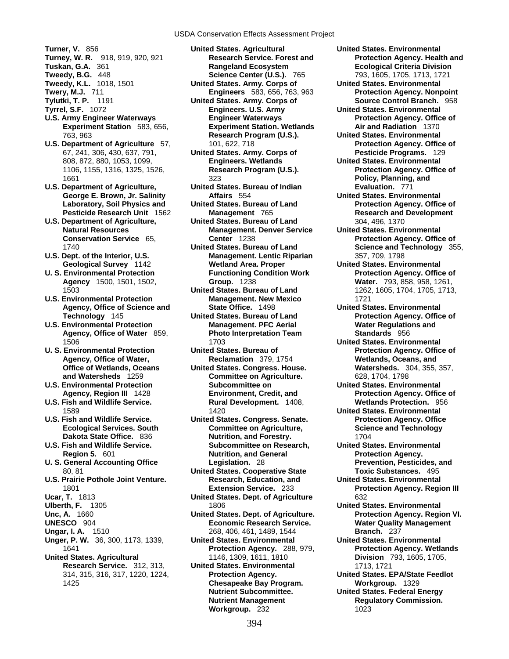- 
- 
- 
- 
- 
- 
- 
- 
- 
- 
- 
- 
- 
- 
- 
- 
- 
- 
- 1589 1420 **United States. Environmental**
- 
- 
- **U. S. General Accounting Office**
- **U.S. Prairie Pothole Joint Venture.**
- 
- 
- 
- 
- 
- 
- **Research Service.** 312, 313, **United States. Environmental** 1713, 1721
- **Turner, V.** 856 **United States. Agricultural United States. Environmental Tweedy, B.G.** 448 **Science Center (U.S.).** 765 793, 1605, 1705, 1713, 1721 **Tweedy, K.L.** 1018, 1501 **111** United States. Army. Corps of **111** United States. Environmental **Tweedy, K.L.** 1018, 1501 **United States. Army. Corps of United States. Environmental Tylutki, T. P.** 1191 **United States. Army. Corps of Source Control Branch.** 958 **Tyrrel, S.F. 1072 Engineers. U.S. Army Connect United States. Environmental** U.S. Army Engineer Waterways **Engineer Waterways** Protection Agency. Office of **Experiment Station** 583, 656, **Experiment Station. Wetlands Air and Radiation** 1370 763, 963 **Research Program (U.S.). United States. Environmental U.S. Department of Agriculture** 57, 101, 622, 718 **Protection Agency. Office of Protection Agency. Office of** 67, 241, 306, 430, 637, 791, **United States. Army. Corps of Pesticide Programs.** 129 1106, 1155, 1316, 1325, 1526, **Research Program (U.S.). Protection Agency. Office of**  1661 323 **Policy, Planning, and U.S. Department of Agriculture, United States. Bureau of Indian Evaluation.** 771 **George E. Brown, Jr. Salinity Affairs** 554 **United States. Environmental**  Laboratory, Soil Physics and United States. Bureau of Land Protection Agency. Office of **Pesticide Research Unit** 1562 **Management** 765 **Research and Development U.S. Department of Agriculture, United States. Bureau of Land** 304, 496, 1370 **Natural Resources Management. Denver Service United States. Environmental Conservation Service** 65, **Center** 1238 **Protection Agency. Office of**  1740 **United States. Bureau of Land Science and Technology** 355, **U.S. Dept. of the Interior, U.S. Management. Lentic Riparian** 357, 709, 1798 **Geological Survey** 1142 **Wetland Area. Proper United States. Environmental**  U. S. Environmental Protection **Functioning Condition Work** Protection Agency. Office of **Agency** 1500, 1501, 1502, **Group.** 1238 **Water.** 793, 858, 958, 1261, 1503 **United States. Bureau of Land** 1262, 1605, 1704, 1705, 1713, **U.S. Environmental Protection Management. New Mexico** 1721 **Agency, Office of Science and State Office.** 1498 **United States. Environmental Texandr United States. Bureau of Land Protection Agency. Office of U.S. Environmental Protection Management. PFC Aerial Water Regulations and Agency, Office of Water** 859, **Photo Interpretation Team Standards** 956 1506 1703 **United States. Environmental**  U. S. Environmental Protection **Number 2 United States. Bureau of The States** Protection Agency. Office of **Agency, Office of Water, Reclamation** 379, 1754 **Wetlands, Oceans, and Office of Wetlands, Oceans United States. Congress. House. and Watersheds** 1259 **Committee on Agriculture.** 628, 1704, 1798 **U.S. Environmental Protection Subcommittee on United States. Environmental**  Agency, Region III 1428 **Environment, Credit, and Protection Agency. Office of Protection Agency.** Office of
- **U.S. Fish and Wildlife Service. United States. Congress. Senate. Protection Agency. Office Ecological Services. South Committee on Agriculture, Science and Technology Dakota State Office.** 836 **Nutrition, and Forestry.** 1704 **U.S. Fish and Wildlife Service. Subcommittee on Research, United States. Environmental**
- 80, 81 **United States. Cooperative State Toxic Substances.** 495 **Ucar, T.** 1813 **United States. Dept. of Agriculture** 632
- **Ulberth, F.** 1305 1806 **United States. Environmental**
- **Ungar, I. A.** 1510 268, 406, 461, 1489, 1544 **Branch.** 237
- **United States. Agricultural** 1146, 1309, 1611, 1810 **Division** 793, 1605, 1705,
	- 314, 315, 316, 317, 1220, 1224, **Protection Agency. United States. EPA/State Feedlot**  1425 **Chesapeake Bay Program. Workgroup.** 1329 **Nutrient Management Commission.** Regulatory Commission. **Workgroup.** 232 1023

**Turney, W. R.** 918, 919, 920, 921 **Research Service. Forest and Protection Agency. Health and Tuskangeland Ecosystem Ecological Criteria Division Engineers** 583, 656, 763, 963 **Protection Agency. Nonpoint United States. Environmental** 

- 
- 
- 
- 
- **U.S. Fish and Wildlife Service. Rural Development.** 1408, **Wetlands Protection.** 956
	-
	- **Region 5.** 601 **Nutrition, and General Protection Agency.**
	- 1801 **Extension Service.** 233 **Protection Agency. Region III**
- **Unc, A.** 1660 **United States. Dept. of Agriculture. Protection Agency. Region VI. UNESCO** 904 **Economic Research Service. Water Quality Management**
- **Unger, P. W.** 36, 300, 1173, 1339, **United States. Environmental United States. Environmental**  1641 **Protection Agency.** 288, 979, **Protection Agency. Wetlands** 
	- **Nutrient Subcommittee. United States. Federal Energy** 
		-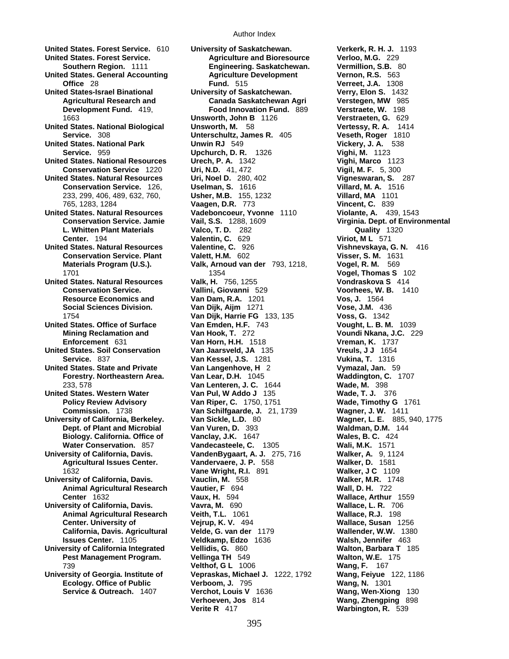**United States. Forest Service.** 610 **University of Saskatchewan. Verkerk, R. H. J.** 1193 **United States. Forest Service. Agriculture and Bioresource Verloo, M.G.** 229 **United States. General Accounting Agriculture Development Vernon, R.S.** 563 **United States-Israel Binational University of Saskatchewan. Verry, Elon S.** 1432 **United States. National Biological and Biological Unsworth, M.**  $58$  **Vertessy, R. A.**  $1414$ **<br>Service. 308 <b>Vertessy, R. A.** *Unterschultz, James R. 405* Veseth, Roger 1810 **United States. National Park Community Community Community Service. 959 <b>Vickery, J. A.** 3123<br>
Upchurch, D. R. 1326 **Vighi, M.** 1123 **Service.** 959 **Upchurch, D. R.** 1326 **United States. National Resources Urech, P. A.** 1342 **Vighi, Marco** 1123 **United States. Natural Resources Uri, Noel D.** 280, 402 **Vigneswaran, S.** 287 **Conservation Service.** 126, **Uselman, S.** 1616<br>233, 299, 406, 489, 632, 760, **Usher, M.B.** 155, 1232 **United States. Natural Resources Vadeboncoeur, Yvonne** 1110 **Violante, A.** 439, 1543 **United States. Natural Resources Valentine, C.** 926 **Vishnevskaya, G. N.** 416 **Conservation Service. Plant United States. Natural Resources Valk, H.** 756, 1255 **Vondraskova S** 414 **United States. Office of Surface Van Emden, H.F.** 743 **Vought, L. B. M.** 1039 **United States. Soil Conservation Van Jaarsveld, JA** 135 **Vreuls, J J 1654**<br>**Van Kessel, J.S.** 1281 **Vukina, T.** 1316 **Service.** 837 **Van Kessel, J.S.** 1281 **United States. State and Private Van Langenhove, H** 2 **Vymazal, Jan.** 59 **United States. Western Water Van Pul, W Addo J** 135 **Wade, T. J.** 376 **University of California, Berkeley. Van Sickle, L.D.** 80 **Wagner, L. E.** 885, 940, 1775 **University of California, Davis. VandenBygaart, A. J.** 275, 716 **Walker, A.** 9, 1124 **Agricultural Issues Center. Vandervaere, J. P.** 558 **University of California, Davis. Vauclin, M.** 558 **Walker, M.R.** 1748 **Animal Agricultural Research Vautier, F 694 University of California, Davis. Vavra, M.** 690 **Wallace, L. R. 706 Animal Agricultural Research Veith, T.L.** 1061 **Wallace, R.J.** 198 **University of California Integrated Vellidis, G.** 860 **Walton, Barbara T** 185 **University of Georgia. Institute of Vepraskas, Michael J.** 1222, 1792 **Wang, Feiyue** 122, 1186

**Engineering. Saskatchewan. Vermillion, S.B.** 80 **Office** 28 **Fund.** 515 **Verreet, J.A.** 1308 **Agricultural Research and Canada Saskatchewan Agri Verstegen, MW** 985 **Development Fund.** 419, **Food Innovation Fund.** 889 **Verstraete, W.** 198 1663 **Unsworth, John B** 1126 **Verstraeten, G.** 629 **Service.** 308 **Unterschultz, James R.** 405 **Veseth, Roger** 1810 **Conservation Service** 1220 **Uri, N.D.** 41, 472 **Vigil, M. F.** 5, 300 233, 299, 406, 489, 632, 760, **Usher, M.B.** 155, 1232 **Villard, MA** 1101 765, 1283, 1284 **Vaagen, D.R.** 773 **Vincent, C.** 839 **Conservation Service. Jamie Vail, S.S.** 1288, 1609 **Virginia. Dept. of Environmental L. Whitten Plant Materials Valco, T. D.** 282 **Quality** 1320 **Center.** 194 **Valentin, C.** 629 **Viriot, M L** 571 **Materials Program (U.S.). Valk, Arnoud van der** 793, 1218, **Vogel, R. M.** 569 1701 1354 **Vogel, Thomas S** 102 **Conservation Service. Vallini, Giovanni** 529 **Voorhees, W. B.** 1410 **Resource Economics and Van Dam, R.A.** 1201 **Vos, J.** 1564 **Social Sciences Division. Van Dijk, Aijm** 1271 **Vose, J.M.** 436 1754 **Van Dijk, Harrie FG** 133, 135 **Voss, G.** 1342 **Mining Reclamation and Van Hook, T.** 272 **Voundi Nkana, J.C.** 229 **Enforcement** 631 **Van Horn, H.H.** 1518 **Vreman, K.** 1737 **Forestry. Northeastern Area. Van Lear, D.H.** 1045 **Waddington, C.** 1707 233, 578 **Van Lenteren, J. C.** 1644 **Wade, M.** 398 **Policy Review Advisory Van Riper, C.** 1750, 1751 **Wade, Timothy G** 1761 **Commission.** 1738 **Van Schilfgaarde, J.** 21, 1739 **Wagner, J. W.** 1411 **Dept. of Plant and Microbial Van Vuren, D.** 393 **Waldman, D.M.** 144 **Biology. California. Office of Vanclay, J.K.** 1647 **Wales, B. C.** 424 **Water Conservation.** 857 **Vandecasteele, C.** 1305 **Wali, M.K.** 1571 1632 **Vane Wright, R.I.** 891 **Walker, J C** 1109 **Center** 1632 **Vaux, H.** 594 **Wallace, Arthur** 1559 **Animal Agricultural Research Veith, T.L.** 1061 **Wallace, R.J.** 198 **Center. University of Vejrup, K. V.** 494 **Wallace, Susan** 1256 **California, Davis. Agricultural Velde, G. van der** 1179 **Wallender, W.W.** 1380 **Issues Center.** 1105 **Veldkamp, Edzo** 1636 **Walsh, Jennifer** 463 **Pest Management Program. Vellinga TH** 549 **Walton, W.E.** 175 739 **Velthof, G L** 1006 **Wang, F.** 167 **Ecology. Office of Public Verboom, J.** 795 **Wang, N.** 1301 **Service & Outreach.** 1407 **Verchot, Louis V** 1636 **Wang, Wen-Xiong** 130 **Verhoeven, Jos** 814 **Wang, Zhengping** 898

**Verite R** 417 **Warbington, R.** 539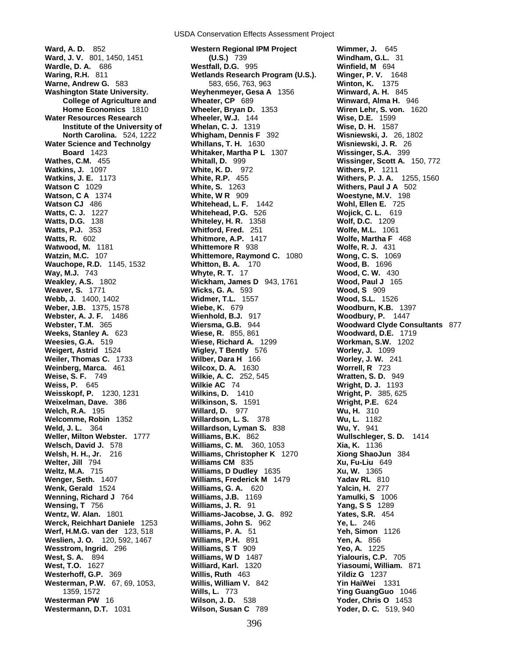USDA Conservation Effects Assessment Project

**Warne, Andrew G.** 583 583, 656, 763, 963 **Wauchope, R.D.** 1145, 1532 **Whitton, B. A.** 170 **Wav, M.J.** 743 **Whyte, R. T.Weaver, S.** 1771 **Wicks, G. A.Weinberg, Marca.** 461 **Wilcox, D. A.Wesstrom, Ingrid.** 296 **Williams, S T** 909 **West, S. A.** 894 **Williams, W D**

**Ward, A. D.** 852 **Western Regional IPM Project Wimmer, J.** 645 **Ward, J. V.** 801, 1450, 1451 **(U.S.)** 739 **Windham, G.L.** 31 **Westfall, D.G.** 995 **Winfield, M** 694 **Waring, R.H.** 811 **Wetlands Research Program (U.S.). Winger, P. V.** 1648 **Washington State University. Weyhenmeyer, Gesa A** 1356 **Winward, A. H.** 845 **College of Agriculture and Wheater, CP** 689 **Winward, Alma H.** 946 **Home Economics** 1810 **Wheeler, Bryan D.** 1353 **Wiren Lehr, S. von.** 1620 **Water Resources Research Wheeler, W.J.** 144 **Wise, D.E.** 1599 **Institute of the University of Whelan, C. J.** 1319 **Wise, D. H.** 1587 **North Carolina.** 524, 1222 **Whigham, Dennis F** 392 **Wisniewski, J.** 26, 1802 **Water Science and Technolgy Whillans, T. H.** 1630 **Wisniewski, J. R.** 26 **Board** 1423 **Whitaker, Martha P L** 1307 **Wissinger, S.A.** 399 **Wathes, C.M.** 455 **Whitall, D.** 999 **Wissinger, Scott A.** 150, 772 **Watkins, J.** 1097 **White, K. D.** 972 **Withers, P.** 1211 **Watkins, J. E.** 1173 **White, R.P.** 455 **Withers, P. J. A.** 1255, 1560 **Watson C** 1029 **White, S.** 1263 **Withers, Paul J A** 502 **White, W R** 909 **Woestyne, M.V.** 198 **Watson CJ** 486 **Whitehead, L. F.** 1442 **Wohl, Ellen E.** 725 **Watts, C. J.** 1227 **Whitehead, P.G.** 526 **Wojick, C. L.** 619 **Watts, D.G.** 138 **Whiteley, H. R.** 1358 **Wolf, D.C.** 1209 **Watts, P.J.** 353 **Whitford, Fred.** 251 **Wolfe, M.L.** 1061 **Watts, R.** 602 **Whitmore, A.P.** 1417 **Wolfe, Martha F** 468 **Watwood, M.** 1181 **Whittemore R** 938 **Wolfe, R. J.** 431 **Watzin, M.C.** 107 **Whittemore, Raymond C.** 1080 **Wong, C. S.** 1069 **Way, M.J.** 743 **Whyte, R. T.** 17 **Wood, C. W.** 430 **Wickham, James D** 943, 1761 **Wood, Paul J** 165<br>**Wicks, G. A.** 593 **Wood, S** 909 **Webb, J.** 1400, 1402 **Widmer, T.L.** 1557 **Wood, S.L.** 1526 **Weber, J.B.** 1375, 1578 **Wiebe, K.** 679 **Woodburn, K.B.** 1397 **Webster, A. J. F.** 1486 **Wienhold, B.J.** 917 **Woodbury, P.** 1447 **Webster, T.M.** 365 **Wiersma, G.B.** 944 **Woodward Clyde Consultants** 877 **Weeks, Stanley A.** 623 **Wiese, R.** 855, 861 **Woodward, D.E.** 1719 **Weesies, G.A.** 519 **Wiese, Richard A.** 1299 **Workman, S.W.** 1202 **Weigert, Astrid** 1524 **Wigley, T Bently** 576 **Worley, J.** 1099 **Weiler, Thomas C.** 1733 **Wilber, Dara H** 166 **Worley, J. W.** 241 **Weise, S. F.** 749 **Wilkie, A. C.** 252, 545 **Wratten, S. D.** 949 **Weiss, P.** 645 **Wilkie AC** 74 **Wright, D. J.** 1193 **Weisskopf, P.** 1230, 1231 **Wilkins, D.** 1410 **Wright, P.** 385, 625 **Weixelman, Dave.** 386 **Wilkinson, S.** 1591 **Wright, P.E.** 624 **Welch, R.A.** 195 **Willard, D.** 977 **Wu, H.** 310 **Welcomme, Robin** 1352 **Willardson, L. S.** 378 **Wu, L.** 1182 **Weld, J. L.** 364 **Willardson, Lyman S.** 838 **Wu, Y.** 941 **Weller, Milton Webster.** 1777 **Williams, B.K.** 862 **Wullschleger, S. D.** 1414 **Welsch, David J.** 578 **Williams, C. M.** 360, 1053 **Xia, K.** 1136 **Welsh, H. H., Jr.** 216 **Williams, Christopher K** 1270 **Xiong ShaoJun** 384 **Welter, Jill** 794 **Williams CM** 835 **Xu, Fu-Liu** 649 **Weltz, M.A.** 715 **Williams, D Dudley** 1635 **Xu, W.** 1365 **Wenger, Seth.** 1407 **Williams, Frederick M** 1479 **Yadav RL** 810<br> **Wenk, Gerald** 1524 **Williams, G. A.** 620 **Yalcin, H. 277 Williams, G. A. 620 Wenning, Richard J** 764 **Williams, J.B.** 1169 **Yamulki, S** 1006 **Wensing, T** 756 **Williams, J. R.** 91 **Yang, S S** 1289 **Wentz, W. Alan.** 1801 **Williams-Jacobse, J. G.** 892 **Yates, S.R.** 454 **Werck, Reichhart Daniele** 1253 **Williams, John S.** 962 **Ye, L.** 246 **Werf, H.M.G. van der** 123, 518 **Williams, P. A.** 51 **Yeh, Simon** 1126 **Weslien, J. O.** 120, 592, 1467 **Williams, P.H.** 891 **Yen, A.** 856 Williams, W D 1487 **Yialouris, C.P.** 705 **West, T.O.** 1627 **Williard, Karl.** 1320 **Yiasoumi, William.** 871 **Westerhoff, G.P.** 369 **Willis, Ruth** 463 **Yildiz G** 1237 **Westerman, P.W.** 67, 69, 1053, **Willis, William V.** 842 **Yin HaiWei** 1331 1359, 1572 **Wills, L.** 773 **Ying GuangGuo** 1046 **Westerman PW** 16 **Wilson, J. D.** 538 **Yoder, Chris O** 1453 **Westermann, D.T.** 1031 **Wilson, Susan C** 789 **Yoder, D. C.** 519, 940